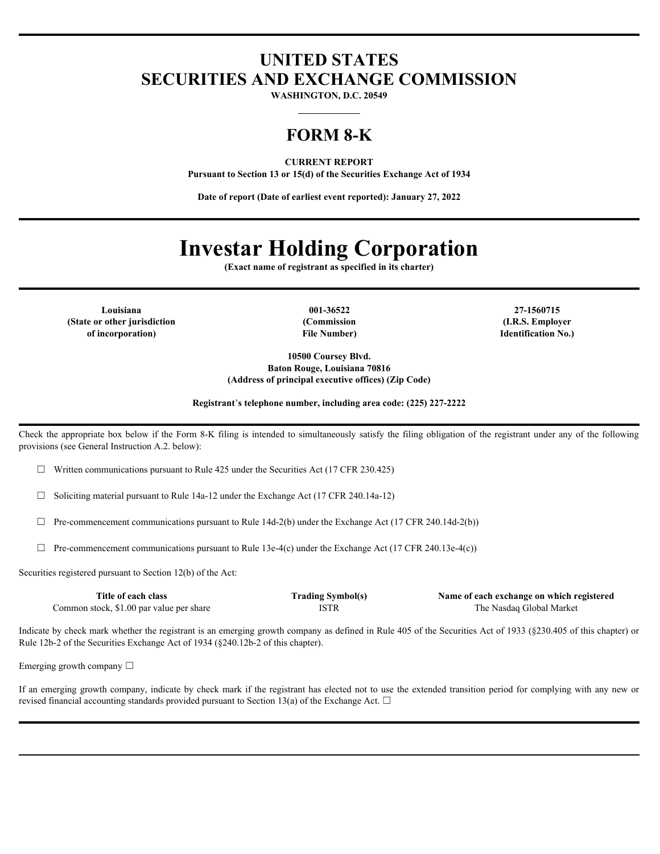# **UNITED STATES SECURITIES AND EXCHANGE COMMISSION**

**WASHINGTON, D.C. 20549**

# **FORM 8-K**

**CURRENT REPORT**

**Pursuant to Section 13 or 15(d) of the Securities Exchange Act of 1934**

**Date of report (Date of earliest event reported): January 27, 2022**

# **Investar Holding Corporation**

**(Exact name of registrant as specified in its charter)**

**(State or other jurisdiction of incorporation)**

**File Number)**

**Louisiana 001-36522 27-1560715 (Commission (I.R.S. Employer Identification No.)**

> **10500 Coursey Blvd. Baton Rouge, Louisiana 70816 (Address of principal executive offices) (Zip Code)**

**Registrant**'**s telephone number, including area code: (225) 227-2222**

Check the appropriate box below if the Form 8-K filing is intended to simultaneously satisfy the filing obligation of the registrant under any of the following provisions (see General Instruction A.2. below):

 $\Box$  Written communications pursuant to Rule 425 under the Securities Act (17 CFR 230.425)

 $\Box$  Soliciting material pursuant to Rule 14a-12 under the Exchange Act (17 CFR 240.14a-12)

 $\Box$  Pre-commencement communications pursuant to Rule 14d-2(b) under the Exchange Act (17 CFR 240.14d-2(b))

 $\Box$  Pre-commencement communications pursuant to Rule 13e-4(c) under the Exchange Act (17 CFR 240.13e-4(c))

Securities registered pursuant to Section 12(b) of the Act:

| Title of each class                                                       | [rading Symbol(s) | Name of each exchange on which registered |
|---------------------------------------------------------------------------|-------------------|-------------------------------------------|
| . \$1.00 par value per share<br>$\mathcal{L}$ ommon stock, $\mathcal{L}'$ | ISTF              | Global Market<br>l he<br>Nasdag           |

Indicate by check mark whether the registrant is an emerging growth company as defined in Rule 405 of the Securities Act of 1933 (§230.405 of this chapter) or Rule 12b-2 of the Securities Exchange Act of 1934 (§240.12b-2 of this chapter).

Emerging growth company  $\Box$ 

If an emerging growth company, indicate by check mark if the registrant has elected not to use the extended transition period for complying with any new or revised financial accounting standards provided pursuant to Section 13(a) of the Exchange Act.  $\Box$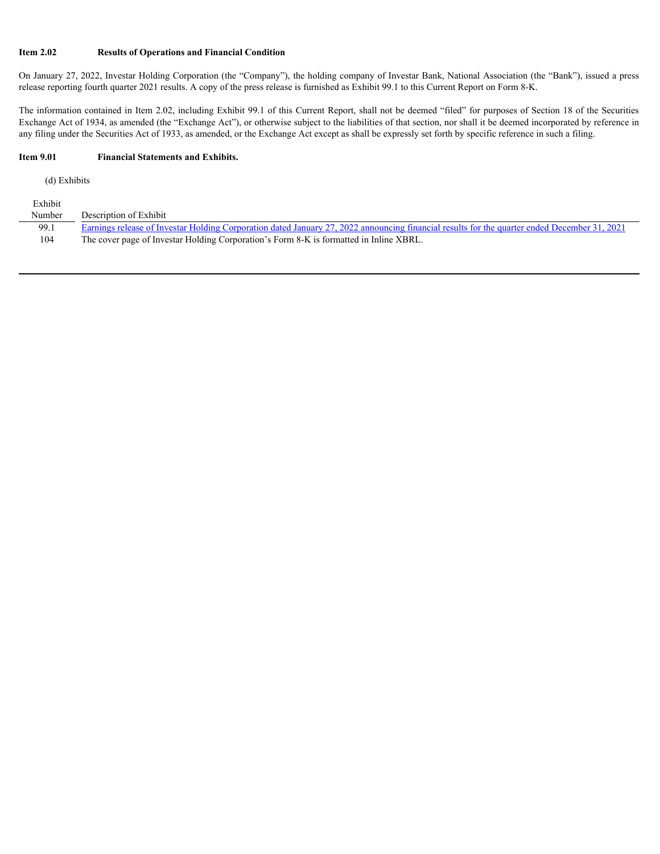# **Item 2.02 Results of Operations and Financial Condition**

On January 27, 2022, Investar Holding Corporation (the "Company"), the holding company of Investar Bank, National Association (the "Bank"), issued a press release reporting fourth quarter 2021 results. A copy of the press release is furnished as Exhibit 99.1 to this Current Report on Form 8-K.

The information contained in Item 2.02, including Exhibit 99.1 of this Current Report, shall not be deemed "filed" for purposes of Section 18 of the Securities Exchange Act of 1934, as amended (the "Exchange Act"), or otherwise subject to the liabilities of that section, nor shall it be deemed incorporated by reference in any filing under the Securities Act of 1933, as amended, or the Exchange Act except as shall be expressly set forth by specific reference in such a filing.

#### **Item 9.01 Financial Statements and Exhibits.**

(d) Exhibits

| Exhibit |                                                                                                                                                               |
|---------|---------------------------------------------------------------------------------------------------------------------------------------------------------------|
| Number  | Description of Exhibit                                                                                                                                        |
| 99.1    | <u>Exercis Corporation dated January 27, 2022 announcing financial results for the quarter ended December 31, 2021</u><br>nings release of Investar Holding C |
| 104     | The cover page of Investar Holding Corporation's Form 8-K is formatted in Inline XBRL.                                                                        |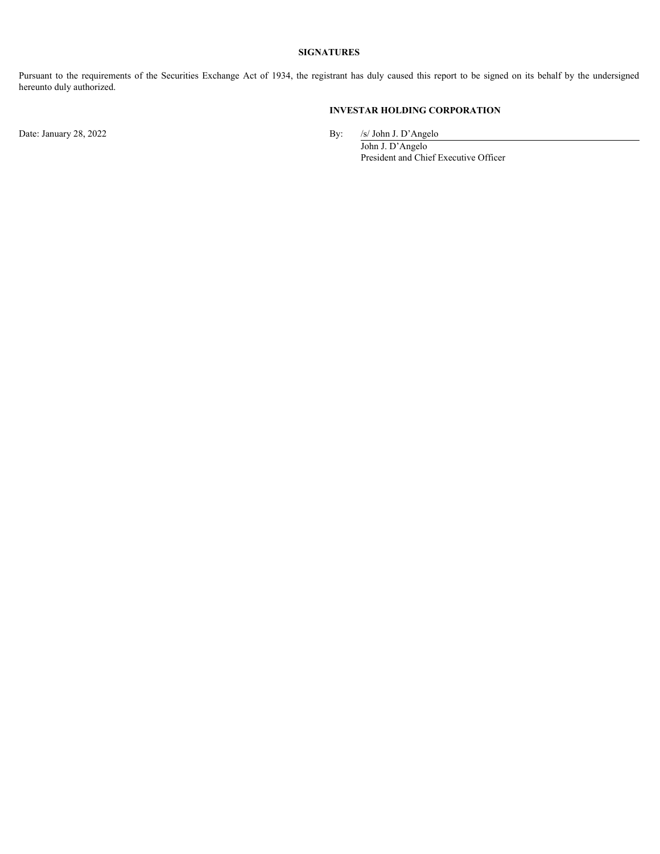# **SIGNATURES**

Pursuant to the requirements of the Securities Exchange Act of 1934, the registrant has duly caused this report to be signed on its behalf by the undersigned<br>hereunto duly authorized.<br>Discriments of the Securities Exchange hereunto duly authorized.

# **INVESTAR HOLDING CORPORATION**

Date: January 28, 2022 By: /s/ John J. D'Angelo

John J. D'Angelo President and Chief Executive Officer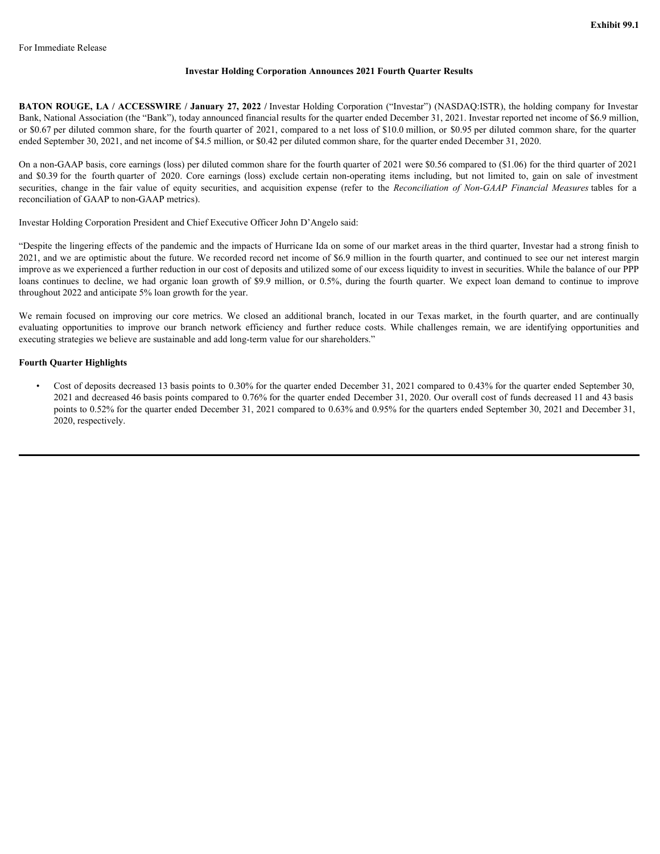#### **Investar Holding Corporation Announces 2021 Fourth Quarter Results**

**BATON ROUGE, LA / ACCESSWIRE / January 27, 2022 /** Investar Holding Corporation ("Investar") (NASDAQ:ISTR), the holding company for Investar Bank, National Association (the "Bank"), today announced financial results for the quarter ended December 31, 2021. Investar reported net income of \$6.9 million, or \$0.67 per diluted common share, for the fourth quarter of 2021, compared to a net loss of \$10.0 million, or \$0.95 per diluted common share, for the quarter ended September 30, 2021, and net income of \$4.5 million, or \$0.42 per diluted common share, for the quarter ended December 31, 2020. **Exhibit 99.1**<br> **Exhibit 99.1**<br> **EXHIDE CORPORATE THE CONSUME CONSULT CONSULTS (CONSULTS)**<br> **EXERCISE AND CORPORATE CONSULTS (CONSULTS)**<br> **EXERCISE AND CORPORATE CONSULTS** (CONSULTS), It consider a frequence of factor and **Exhibit 99.1**<br> **EXHIDITE SECURE CONSULTS CONSULTS CONSULTS CONSULTS CONSULTS CONSULTS (SECURE ACCESSIVENTS)**<br> **EXHIDITS**<br> **EXHIDITS**<br> **EXHIDITS**<br> **EXHIDITS** CONSULTS CONSULTS CONSULTS CONSULTS (NON-BOTH CONSULTS) CONSULTS

On a non-GAAP basis, core earnings (loss) per diluted common share for the fourth quarter of 2021 were \$0.56 compared to (\$1.06) for the third quarter of 2021 reconciliation of GAAP to non-GAAP metrics).

Investar Holding Corporation President and Chief Executive Officer John D'Angelo said:

<span id="page-3-0"></span>"Despite the lingering effects of the pandemic and the impacts of Hurricane Ida on some of our market areas in the third quarter, Investar had a strong finish to 2021, and we are optimistic about the future. We recorded record net income of \$6.9 million in the fourth quarter, and continued to see our net interest margin improve as we experienced a further reduction in our cost of deposits and utilized some of our excess liquidity to invest in securities. While the balance of our PPP For hunselative Release<br> **HATON ROUGE LA:** A CCCESSWIRE / January 27, 2003 / Javourus Holding Corporation (Theoretic") (NASDA 0.36TR), the holding company for hundred and NARON NONETA, the holding company for hundred and throughout 2022 and anticipate 5% loan growth for the year. For Immediate Release<br>
Investor Holding Corporation Announces 2021 Fourth Quarter Results<br>
HATON ROICIE, LA / ACCESSWIRE / January 27, 2022 / Investor Holding Corporation (Thresney") (NASDAG4STE) the heliding company for **Examble Post Example of the United Component on Announces 2021 Fourth Quarter Results<br>
INTON WOLGG, LA / ACCESSWIRY, January 27, 2022 / Isvester Holding Corporation ("Isvester") (NASIXQ) ISTR), the beling company for Isv** 

executing strategies we believe are sustainable and add long-term value for our shareholders."

#### **Fourth Quarter Highlights**

• Cost of deposits decreased 13 basis points to 0.30% for the quarter ended December 31, 2021 compared to 0.43% for the quarter ended September 30, 2021 and decreased 46 basis points compared to 0.76% for the quarter ended December 31, 2020. Our overall cost of funds decreased 11 and 43 basis points to 0.52% for the quarter ended December 31, 2021 compared to 0.63% and 0.95% for the quarters ended September 30, 2021 and December 31, 2020, respectively.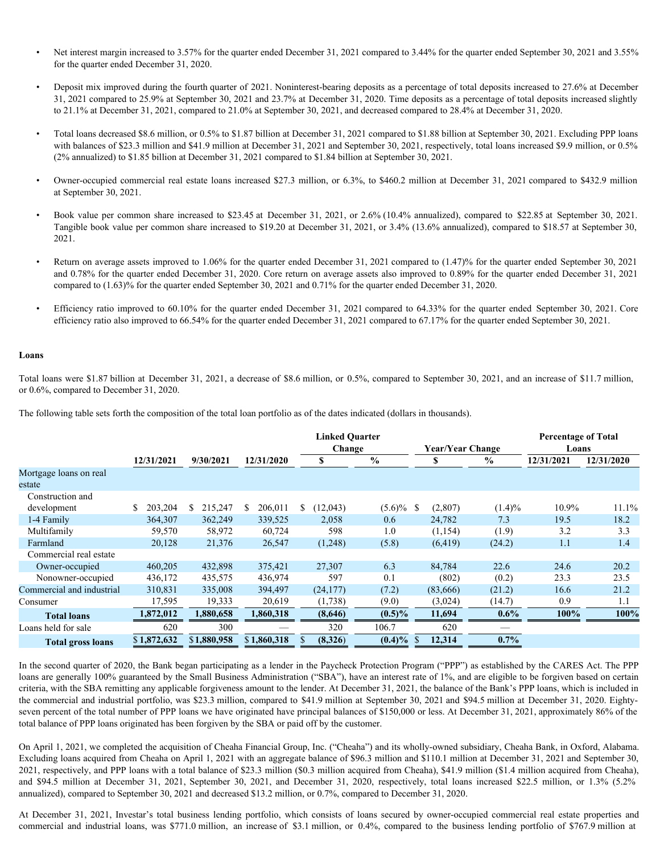- Net interest margin increased to 3.57% for the quarter ended December 31, 2021 compared to 3.44% for the quarter ended September 30, 2021 and 3.55% for the quarter ended December 31, 2020.
- Deposit mix improved during the fourth quarter of 2021. Noninterest-bearing deposits as a percentage of total deposits increased to 27.6% at December 31, 2021 compared to 25.9% at September 30, 2021 and 23.7% at December 31, 2020. Time deposits as a percentage of total deposits increased slightly to 21.1% at December 31, 2021, compared to 21.0% at September 30, 2021, and decreased compared to 28.4% at December 31, 2020. Net interest margin increased to 3.57% for the quarter ended December 31, 2021 compared to 3.44% for the quarter ended September 30, 2021 and 3.55%<br>for the quarter ended December 31, 2020.<br>**Deposit mix improved during the**
- Total loans decreased \$8.6 million, or 0.5% to \$1.87 billion at December 31, 2021 compared to \$1.88 billion at September 30, 2021. Excluding PPP loans with balances of \$23.3 million and \$41.9 million at December 31, 2021 and September 30, 2021, respectively, total loans increased \$9.9 million, or 0.5% (2% annualized) to \$1.85 billion at December 31, 2021 compared to \$1.84 billion at September 30, 2021.
- Owner-occupied commercial real estate loans increased \$27.3 million, or 6.3%, to \$460.2 million at December 31, 2021 compared to \$432.9 million at September 30, 2021.
- 2021.
- Return on average assets improved to 1.06% for the quarter ended December 31, 2021 compared to (1.47)% for the quarter ended September 30, 2021 and 0.78% for the quarter ended December 31, 2020. Core return on average assets also improved to 0.89% for the quarter ended December 31, 2021 compared to (1.63)% for the quarter ended September 30, 2021 and 0.71% for the quarter ended December 31, 2020.
- Efficiency ratio improved to 60.10% for the quarter ended December 31, 2021 compared to 64.33% for the quarter ended September 30, 2021. Core efficiency ratio also improved to 66.54% for the quarter ended December 31, 2021 compared to 67.17% for the quarter ended September 30, 2021.

#### **Loans**

Total loans were \$1.87 billion at December 31, 2021, a decrease of \$8.6 million, or 0.5%, compared to September 30, 2021, and an increase of \$11.7 million, or 0.6%, compared to December 31, 2020.

The following table sets forth the composition of the total loan portfolio as of the dates indicated (dollars in thousands).

|                                                                                                                                                                                                                                                                                                                                                                                                                                                                                                                                                                                                                                                                                                                                                                                  |                    |                    |                                         | <b>Linked Ouarter</b><br>Change |                    | <b>Year/Year Change</b>       |                                  | <b>Percentage of Total</b><br>Loans |            |
|----------------------------------------------------------------------------------------------------------------------------------------------------------------------------------------------------------------------------------------------------------------------------------------------------------------------------------------------------------------------------------------------------------------------------------------------------------------------------------------------------------------------------------------------------------------------------------------------------------------------------------------------------------------------------------------------------------------------------------------------------------------------------------|--------------------|--------------------|-----------------------------------------|---------------------------------|--------------------|-------------------------------|----------------------------------|-------------------------------------|------------|
|                                                                                                                                                                                                                                                                                                                                                                                                                                                                                                                                                                                                                                                                                                                                                                                  | 12/31/2021         | 9/30/2021          | 12/31/2020                              | S.                              | $\%$               | $\mathbf{s}$                  | $\%$                             | 12/31/2021                          | 12/31/2020 |
| Mortgage loans on real                                                                                                                                                                                                                                                                                                                                                                                                                                                                                                                                                                                                                                                                                                                                                           |                    |                    |                                         |                                 |                    |                               |                                  |                                     |            |
| estate                                                                                                                                                                                                                                                                                                                                                                                                                                                                                                                                                                                                                                                                                                                                                                           |                    |                    |                                         |                                 |                    |                               |                                  |                                     |            |
| Construction and                                                                                                                                                                                                                                                                                                                                                                                                                                                                                                                                                                                                                                                                                                                                                                 |                    |                    |                                         |                                 |                    |                               |                                  |                                     |            |
| development                                                                                                                                                                                                                                                                                                                                                                                                                                                                                                                                                                                                                                                                                                                                                                      | \$203,204          | 215,247<br>-S      | 206,011<br><sup>S</sup>                 | (12,043)<br><sup>S</sup>        | $(5.6)\%$<br>-S    | (2,807)                       | $(1.4)\%$                        | 10.9%                               | 11.1%      |
| 1-4 Family                                                                                                                                                                                                                                                                                                                                                                                                                                                                                                                                                                                                                                                                                                                                                                       | 364,307            | 362,249            | 339.525                                 | 2.058                           | 0.6                | 24.782                        | 7.3                              | 19.5                                | 18.2       |
| Multifamily                                                                                                                                                                                                                                                                                                                                                                                                                                                                                                                                                                                                                                                                                                                                                                      | 59,570             | 58,972             | 60,724                                  | 598                             | 1.0                | (1,154)                       | (1.9)                            | 3.2                                 | 3.3        |
| Farmland                                                                                                                                                                                                                                                                                                                                                                                                                                                                                                                                                                                                                                                                                                                                                                         | 20,128             | 21,376             | 26,547                                  | (1,248)                         | (5.8)              | (6, 419)                      | (24.2)                           | 1.1                                 | 1.4        |
| Commercial real estate                                                                                                                                                                                                                                                                                                                                                                                                                                                                                                                                                                                                                                                                                                                                                           |                    |                    |                                         |                                 |                    |                               |                                  |                                     |            |
| Owner-occupied                                                                                                                                                                                                                                                                                                                                                                                                                                                                                                                                                                                                                                                                                                                                                                   | 460,205            | 432,898            | 375,421                                 | 27,307                          | 6.3                | 84,784                        | 22.6                             | 24.6                                | 20.2       |
| Nonowner-occupied                                                                                                                                                                                                                                                                                                                                                                                                                                                                                                                                                                                                                                                                                                                                                                | 436,172            | 435,575            | 436,974                                 | 597                             | 0.1                | (802)                         | (0.2)                            | 23.3                                | 23.5       |
|                                                                                                                                                                                                                                                                                                                                                                                                                                                                                                                                                                                                                                                                                                                                                                                  | 310,831            | 335,008            | 394,497                                 | (24, 177)                       | (7.2)              | (83,666)                      | (21.2)                           | 16.6                                | 21.2       |
| Commercial and industrial                                                                                                                                                                                                                                                                                                                                                                                                                                                                                                                                                                                                                                                                                                                                                        |                    |                    | 20,619                                  | (1,738)                         | (9.0)              | (3,024)                       | (14.7)                           | 0.9                                 | 1.1        |
|                                                                                                                                                                                                                                                                                                                                                                                                                                                                                                                                                                                                                                                                                                                                                                                  |                    |                    |                                         |                                 |                    |                               |                                  | 100%                                | 100%       |
| Consumer                                                                                                                                                                                                                                                                                                                                                                                                                                                                                                                                                                                                                                                                                                                                                                         | 17,595             | 19,333             | 1,860,318                               | (8,646)                         |                    | 11,694                        | $0.6\%$                          |                                     |            |
| <b>Total loans</b>                                                                                                                                                                                                                                                                                                                                                                                                                                                                                                                                                                                                                                                                                                                                                               | 1,872,012          | 1,880,658          |                                         |                                 | $(0.5)\%$          |                               |                                  |                                     |            |
| Loans held for sale<br><b>Total gross loans</b><br>In the second quarter of 2020, the Bank began participating as a lender in the Paycheck Protection Program ("PPP") as established by the CARES Act. The PPP<br>loans are generally 100% guaranteed by the Small Business Administration ("SBA"), have an interest rate of 1%, and are eligible to be forgiven based on certain                                                                                                                                                                                                                                                                                                                                                                                                | 620<br>\$1,872,632 | 300<br>\$1,880,958 | $\overline{\phantom{m}}$<br>\$1,860,318 | 320<br>(8,326)<br>-S            | 106.7<br>$(0.4)\%$ | 620<br>12,314<br><sup>S</sup> | $\overline{\phantom{a}}$<br>0.7% |                                     |            |
| criteria, with the SBA remitting any applicable forgiveness amount to the lender. At December 31, 2021, the balance of the Bank's PPP loans, which is included in<br>the commercial and industrial portfolio, was \$23.3 million, compared to \$41.9 million at September 30, 2021 and \$94.5 million at December 31, 2020. Eighty-<br>seven percent of the total number of PPP loans we have originated have principal balances of \$150,000 or less. At December 31, 2021, approximately 86% of the<br>total balance of PPP loans originated has been forgiven by the SBA or paid off by the customer.                                                                                                                                                                         |                    |                    |                                         |                                 |                    |                               |                                  |                                     |            |
| On April 1, 2021, we completed the acquisition of Cheaha Financial Group, Inc. ("Cheaha") and its wholly-owned subsidiary, Cheaha Bank, in Oxford, Alabama.<br>Excluding loans acquired from Cheaha on April 1, 2021 with an aggregate balance of \$96.3 million and \$110.1 million at December 31, 2021 and September 30,<br>2021, respectively, and PPP loans with a total balance of \$23.3 million (\$0.3 million acquired from Cheaha), \$41.9 million (\$1.4 million acquired from Cheaha),<br>and \$94.5 million at December 31, 2021, September 30, 2021, and December 31, 2020, respectively, total loans increased \$22.5 million, or 1.3% (5.2%<br>annualized), compared to September 30, 2021 and decreased \$13.2 million, or 0.7%, compared to December 31, 2020. |                    |                    |                                         |                                 |                    |                               |                                  |                                     |            |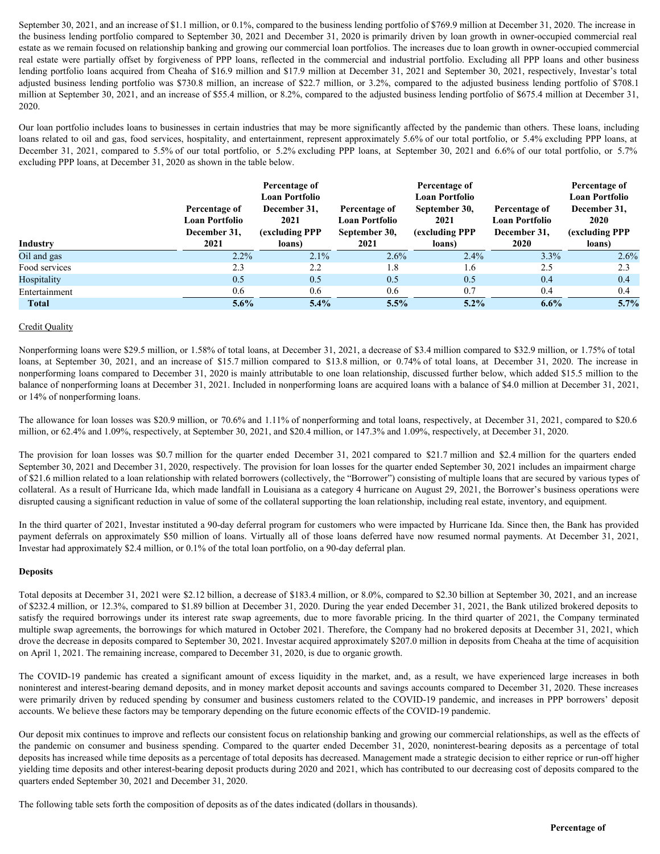September 30, 2021, and an increase of \$1.1 million, or 0.1%, compared to the business lending portfolio of \$769.9 million at December 31, 2020. The increase in the business lending portfolio compared to September 30, 2021 and December 31, 2020 is primarily driven by loan growth in owner-occupied commercial real estate as we remain focused on relationship banking and growing our commercial loan portfolios. The increases due to loan growth in owner-occupied commercial September 30, 2021, and an increase of \$1.1 million, or 0.1%, compared to the business lending portfolio of \$769.9 million at December 31, 2020 is primarly driven by loan growth in owner-occupied commercial real estate as lending portfolio loans acquired from Cheaha of \$16.9 million and \$17.9 million at December 31, 2021 and September 30, 2021, respectively, Investar's total September 30, 2021, and an increase of \$1.1 million, or 0.1%, compared to the business lending portfolio of \$769.9 million at December 31, 2020. The increase in the business lending portfolio compared to September 30, 2021 million at September 30, 2021, and an increase of \$55.4 million, or 8.2%, compared to the adjusted business lending portfolio of \$675.4 million at December 31, 2020. September 30, 2021, and an increase of S1.1 million, or 0.1%, compared to the business lending portfolio compared to September 30, 2021 and December 31, 2020 is primarily driven by loan growth in owner-occupied commercial

| September 30, 2021, and an increase of \$1.1 million, or 0.1%, compared to the business lending portfolio of \$769.9 million at December 31, 2020. The increase in<br>the business lending portfolio compared to September 30, 2021 and December 31, 2020 is primarily driven by loan growth in owner-occupied commercial real<br>estate as we remain focused on relationship banking and growing our commercial loan portfolios. The increases due to loan growth in owner-occupied commercial<br>real estate were partially offset by forgiveness of PPP loans, reflected in the commercial and industrial portfolio. Excluding all PPP loans and other business<br>lending portfolio loans acquired from Cheaha of \$16.9 million and \$17.9 million at December 31, 2021 and September 30, 2021, respectively, Investar's total<br>adjusted business lending portfolio was \$730.8 million, an increase of \$22.7 million, or 3.2%, compared to the adjusted business lending portfolio of \$708.1<br>million at September 30, 2021, and an increase of \$55.4 million, or 8.2%, compared to the adjusted business lending portfolio of \$675.4 million at December 31,<br>2020. |                                                        |                                                                                  |                                                         |                                                                                   |                                                        |                                                                                  |  |  |  |  |
|--------------------------------------------------------------------------------------------------------------------------------------------------------------------------------------------------------------------------------------------------------------------------------------------------------------------------------------------------------------------------------------------------------------------------------------------------------------------------------------------------------------------------------------------------------------------------------------------------------------------------------------------------------------------------------------------------------------------------------------------------------------------------------------------------------------------------------------------------------------------------------------------------------------------------------------------------------------------------------------------------------------------------------------------------------------------------------------------------------------------------------------------------------------------------------------|--------------------------------------------------------|----------------------------------------------------------------------------------|---------------------------------------------------------|-----------------------------------------------------------------------------------|--------------------------------------------------------|----------------------------------------------------------------------------------|--|--|--|--|
| Our loan portfolio includes loans to businesses in certain industries that may be more significantly affected by the pandemic than others. These loans, including<br>loans related to oil and gas, food services, hospitality, and entertainment, represent approximately 5.6% of our total portfolio, or 5.4% excluding PPP loans, at<br>December 31, 2021, compared to 5.5% of our total portfolio, or 5.2% excluding PPP loans, at September 30, 2021 and 6.6% of our total portfolio, or 5.7%<br>excluding PPP loans, at December 31, 2020 as shown in the table below.                                                                                                                                                                                                                                                                                                                                                                                                                                                                                                                                                                                                          |                                                        |                                                                                  |                                                         |                                                                                   |                                                        |                                                                                  |  |  |  |  |
|                                                                                                                                                                                                                                                                                                                                                                                                                                                                                                                                                                                                                                                                                                                                                                                                                                                                                                                                                                                                                                                                                                                                                                                      | Percentage of<br><b>Loan Portfolio</b><br>December 31, | Percentage of<br><b>Loan Portfolio</b><br>December 31,<br>2021<br>(excluding PPP | Percentage of<br><b>Loan Portfolio</b><br>September 30, | Percentage of<br><b>Loan Portfolio</b><br>September 30,<br>2021<br>(excluding PPP | Percentage of<br><b>Loan Portfolio</b><br>December 31, | Percentage of<br><b>Loan Portfolio</b><br>December 31,<br>2020<br>(excluding PPP |  |  |  |  |
| Industry<br>Oil and gas                                                                                                                                                                                                                                                                                                                                                                                                                                                                                                                                                                                                                                                                                                                                                                                                                                                                                                                                                                                                                                                                                                                                                              | 2021<br>2.2%                                           | loans)<br>2.1%                                                                   | 2021<br>2.6%                                            | loans)<br>2.4%                                                                    | 2020<br>3.3%                                           | loans)<br>2.6%                                                                   |  |  |  |  |
| Food services                                                                                                                                                                                                                                                                                                                                                                                                                                                                                                                                                                                                                                                                                                                                                                                                                                                                                                                                                                                                                                                                                                                                                                        | 2.3                                                    | 2.2                                                                              | 1.8                                                     | 1.6                                                                               | 2.5                                                    | 2.3                                                                              |  |  |  |  |
| Hospitality                                                                                                                                                                                                                                                                                                                                                                                                                                                                                                                                                                                                                                                                                                                                                                                                                                                                                                                                                                                                                                                                                                                                                                          | 0.5                                                    | 0.5                                                                              | 0.5                                                     | 0.5                                                                               | 0.4                                                    | 0.4                                                                              |  |  |  |  |
| Entertainment                                                                                                                                                                                                                                                                                                                                                                                                                                                                                                                                                                                                                                                                                                                                                                                                                                                                                                                                                                                                                                                                                                                                                                        | 0.6                                                    | 0.6                                                                              | 0.6                                                     | 0.7                                                                               | 0.4                                                    | 0.4                                                                              |  |  |  |  |
| <b>Total</b>                                                                                                                                                                                                                                                                                                                                                                                                                                                                                                                                                                                                                                                                                                                                                                                                                                                                                                                                                                                                                                                                                                                                                                         | 5.6%                                                   | 5.4%                                                                             | 5.5%                                                    | $5.2\%$                                                                           | 6.6%                                                   | 5.7%                                                                             |  |  |  |  |
| Nonperforming loans were \$29.5 million, or 1.58% of total loans, at December 31, 2021, a decrease of \$3.4 million compared to \$32.9 million, or 1.75% of total<br>loans, at September 30, 2021, and an increase of \$15.7 million compared to \$13.8 million, or 0.74% of total loans, at December 31, 2020. The increase in<br>nonperforming loans compared to December 31, 2020 is mainly attributable to one loan relationship, discussed further below, which added \$15.5 million to the<br>balance of nonperforming loans at December 31, 2021. Included in nonperforming loans are acquired loans with a balance of \$4.0 million at December 31, 2021,<br>or 14% of nonperforming loans.                                                                                                                                                                                                                                                                                                                                                                                                                                                                                  |                                                        |                                                                                  |                                                         |                                                                                   |                                                        |                                                                                  |  |  |  |  |
| The allowance for loan losses was \$20.9 million, or 70.6% and 1.11% of nonperforming and total loans, respectively, at December 31, 2021, compared to \$20.6<br>million, or 62.4% and 1.09%, respectively, at September 30, 2021, and \$20.4 million, or 147.3% and 1.09%, respectively, at December 31, 2020.                                                                                                                                                                                                                                                                                                                                                                                                                                                                                                                                                                                                                                                                                                                                                                                                                                                                      |                                                        |                                                                                  |                                                         |                                                                                   |                                                        |                                                                                  |  |  |  |  |
| The provision for loan losses was \$0.7 million for the quarter ended December 31, 2021 compared to \$21.7 million and \$2.4 million for the quarters ended<br>September 30, 2021 and December 31, 2020, respectively. The provision for loan losses for the quarter ended September 30, 2021 includes an impairment charge<br>of \$21.6 million related to a loan relationship with related borrowers (collectively, the "Borrower") consisting of multiple loans that are secured by various types of<br>collateral. As a result of Hurricane Ida, which made landfall in Louisiana as a category 4 hurricane on August 29, 2021, the Borrower's business operations were<br>disrupted causing a significant reduction in value of some of the collateral supporting the loan relationship, including real estate, inventory, and equipment.                                                                                                                                                                                                                                                                                                                                       |                                                        |                                                                                  |                                                         |                                                                                   |                                                        |                                                                                  |  |  |  |  |
| In the third quarter of 2021, Investar instituted a 90-day deferral program for customers who were impacted by Hurricane Ida. Since then, the Bank has provided<br>payment deferrals on approximately \$50 million of loans. Virtually all of those loans deferred have now resumed normal payments. At December 31, 2021,<br>Investar had approximately \$2.4 million, or 0.1% of the total loan portfolio, on a 90-day deferral plan.                                                                                                                                                                                                                                                                                                                                                                                                                                                                                                                                                                                                                                                                                                                                              |                                                        |                                                                                  |                                                         |                                                                                   |                                                        |                                                                                  |  |  |  |  |
| <b>Deposits</b>                                                                                                                                                                                                                                                                                                                                                                                                                                                                                                                                                                                                                                                                                                                                                                                                                                                                                                                                                                                                                                                                                                                                                                      |                                                        |                                                                                  |                                                         |                                                                                   |                                                        |                                                                                  |  |  |  |  |
| Total deposits at December 31, 2021 were \$2.12 billion, a decrease of \$183.4 million, or 8.0%, compared to \$2.30 billion at September 30, 2021, and an increase<br>of \$232.4 million, or 12.3%, compared to \$1.89 billion at December 31, 2020. During the year ended December 31, 2021, the Bank utilized brokered deposits to<br>satisfy the required borrowings under its interest rate swap agreements, due to more favorable pricing. In the third quarter of 2021, the Company terminated                                                                                                                                                                                                                                                                                                                                                                                                                                                                                                                                                                                                                                                                                 |                                                        |                                                                                  |                                                         |                                                                                   |                                                        |                                                                                  |  |  |  |  |

#### Credit Quality

# **Deposits**

Total deposits at December 31, 2021 were \$2.12 billion, a decrease of \$183.4 million, or 8.0%, compared to \$2.30 billion at September 30, 2021, and an increase of \$232.4 million, or 12.3%, compared to \$1.89 billion at December 31, 2020. During the year ended December 31, 2021, the Bank utilized brokered deposits to Food cervices as the required borrowing is the required borrowing of the required borrowing in the required borrowing interest  $\frac{0.5}{0.4\%}$  The required borrowing interest in the required of the required borrowing in t multiple swap agreements, the borrowings for which matured in October 2021. Therefore, the Company had no brokered deposits at December 31, 2021, which drove the decrease in deposits compared to September 30, 2021. Investar acquired approximately \$207.0 million in deposits from Cheaha at the time of acquisition on April 1, 2021. The remaining increase, compared to December 31, 2020, is due to organic growth. Could Questin at the significant amount of 1.58% of oral loan. a December 21, 2021, a december of 31.4 million compared to 81.2 million compared to 81.2 million compared to 81.2 million compared to 81.2 million amount of to (1893 of competienting bean, was 50.9 million, or 70.0% and 1.11% of seaperboning and eata loans, respectively, at December 31, 2020, and and compared to  $50\%$ , and  $10\%$ , and  $10\%$ , and  $10\%$ , and  $10\%$ , and  $10\$ 

noninterest and interest-bearing demand deposits, and in money market deposit accounts and savings accounts compared to December 31, 2020. These increases were primarily driven by reduced spending by consumer and business customers related to the COVID-19 pandemic, and increases in PPP borrowers' deposit accounts. We believe these factors may be temporary depending on the future economic effects of the COVID-19 pandemic.

Our deposit mix continues to improve and reflects our consistent focus on relationship banking and growing our commercial relationships, as well as the effects of deposits has increased while time deposits as a percentage of total deposits has decreased. Management made a strategic decision to either reprice or run-off higher yielding time deposits and other interest-bearing deposit products during 2020 and 2021, which has contributed to our decreasing cost of deposits compared to the quarters ended September 30, 2021 and December 31, 2020.

The following table sets forth the composition of deposits as of the dates indicated (dollars in thousands).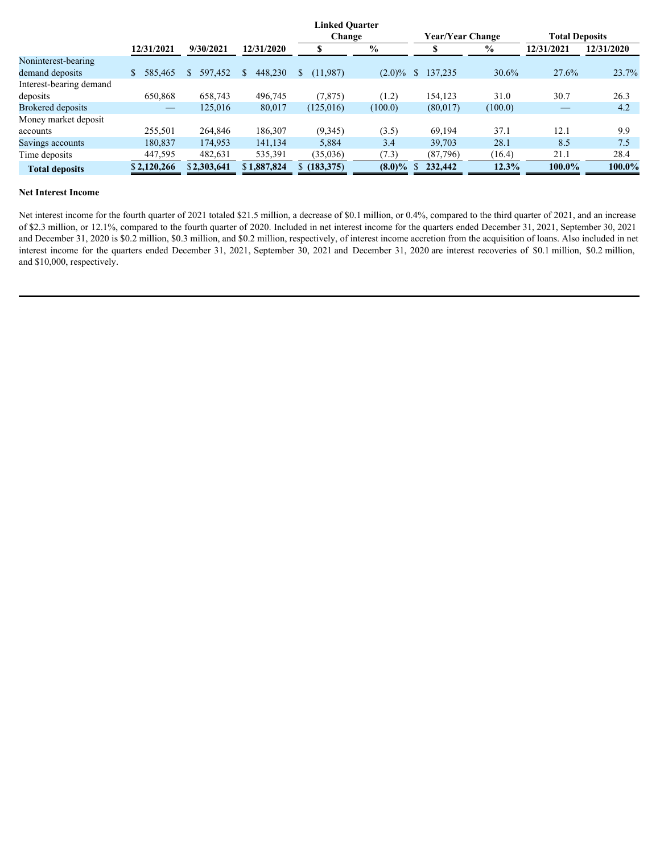|                                                                                                                                                                                                                                                                                                                                                                                                                                                                                                                                                       |                          |             |             | <b>Linked Quarter</b><br>Change |                                  | <b>Year/Year Change</b> |               | <b>Total Deposits</b>    |            |
|-------------------------------------------------------------------------------------------------------------------------------------------------------------------------------------------------------------------------------------------------------------------------------------------------------------------------------------------------------------------------------------------------------------------------------------------------------------------------------------------------------------------------------------------------------|--------------------------|-------------|-------------|---------------------------------|----------------------------------|-------------------------|---------------|--------------------------|------------|
|                                                                                                                                                                                                                                                                                                                                                                                                                                                                                                                                                       | 12/31/2021               | 9/30/2021   | 12/31/2020  | S.                              | $\boldsymbol{\mathrm{0}/_{\!0}}$ | $\mathbb{S}$            | $\frac{0}{0}$ | 12/31/2021               | 12/31/2020 |
| Noninterest-bearing                                                                                                                                                                                                                                                                                                                                                                                                                                                                                                                                   |                          |             |             |                                 |                                  |                         |               |                          |            |
| demand deposits                                                                                                                                                                                                                                                                                                                                                                                                                                                                                                                                       | $$585,465$ \ $$$         | 597,452 \$  | 448,230 \$  | (11,987)                        |                                  | $(2.0)\%$ \$ 137,235    | 30.6%         | 27.6%                    | 23.7%      |
| Interest-bearing demand                                                                                                                                                                                                                                                                                                                                                                                                                                                                                                                               |                          |             |             |                                 |                                  |                         |               |                          |            |
| deposits                                                                                                                                                                                                                                                                                                                                                                                                                                                                                                                                              | 650,868                  | 658,743     | 496,745     | (7, 875)                        | (1.2)                            | 154,123                 | 31.0          | 30.7                     | 26.3       |
| <b>Brokered</b> deposits                                                                                                                                                                                                                                                                                                                                                                                                                                                                                                                              | $\overline{\phantom{a}}$ | 125,016     | 80,017      | (125,016)                       | (100.0)                          | (80,017)                | (100.0)       | $\overline{\phantom{a}}$ | 4.2        |
| Money market deposit                                                                                                                                                                                                                                                                                                                                                                                                                                                                                                                                  |                          |             |             |                                 |                                  |                         |               |                          |            |
| accounts                                                                                                                                                                                                                                                                                                                                                                                                                                                                                                                                              | 255,501                  | 264,846     | 186,307     | (9,345)                         | (3.5)                            | 69,194                  | 37.1          | 12.1                     | 9.9        |
| Savings accounts                                                                                                                                                                                                                                                                                                                                                                                                                                                                                                                                      | 180,837                  | 174,953     | 141,134     | 5,884                           | 3.4                              | 39,703                  | 28.1          | 8.5                      | 7.5        |
| Time deposits                                                                                                                                                                                                                                                                                                                                                                                                                                                                                                                                         | 447,595                  | 482,631     | 535,391     | (35,036)                        | (7.3)                            | (87,796)                | (16.4)        | 21.1                     | 28.4       |
| <b>Total deposits</b>                                                                                                                                                                                                                                                                                                                                                                                                                                                                                                                                 | \$2,120,266              | \$2,303,641 | \$1,887,824 | \$(183,375)                     | $(8.0)\%$                        | 232,442                 | 12.3%         | 100.0%                   | 100.0%     |
| <b>Net Interest Income</b><br>Net interest income for the fourth quarter of 2021 totaled \$21.5 million, a decrease of \$0.1 million, or 0.4%, compared to the third quarter of 2021, and an increase<br>of \$2.3 million, or 12.1%, compared to the fourth quarter of 2020. Included in net interest income for the quarters ended December 31, 2021, September 30, 2021<br>and December 31, 2020 is \$0.2 million, \$0.3 million, and \$0.2 million, respectively, of interest income accretion from the acquisition of loans. Also included in net |                          |             |             |                                 |                                  |                         |               |                          |            |

## **Net Interest Income**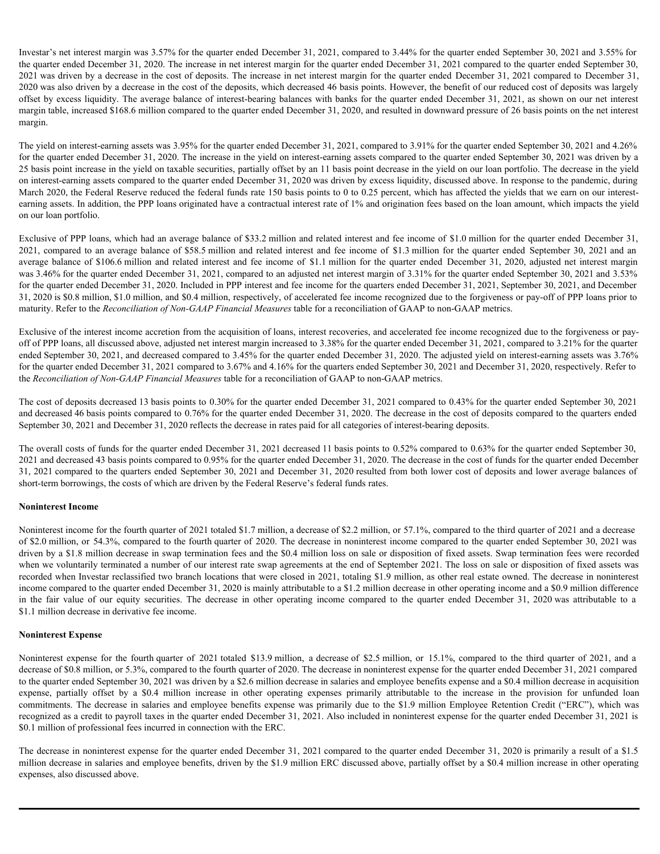Investar's net interest margin was 3.57% for the quarter ended December 31, 2021, compared to 3.44% for the quarter ended September 30, 2021 and 3.55% for the quarter ended December 31, 2020. The increase in net interest margin for the quarter ended December 31, 2021 compared to the quarter ended September 30, 2021 was driven by a decrease in the cost of deposits. The increase in net interest margin for the quarter ended December 31, 2021 compared to December 31, 2020 was also driven by a decrease in the cost of the deposits, which decreased 46 basis points. However, the benefit of our reduced cost of deposits was largely offset by excess liquidity. The average balance of interest-bearing balances with banks for the quarter ended December 31, 2021, as shown on our net interest margin table, increased \$168.6 million compared to the quarter ended December 31, 2020, and resulted in downward pressure of 26 basis points on the net interest margin.

The yield on interest-earning assets was 3.95% for the quarter ended December 31, 2021, compared to 3.91% for the quarter ended September 30, 2021 and 4.26% for the quarter ended December 31, 2020. The increase in the yield on interest-earning assets compared to the quarter ended September 30, 2021 was driven by a 25 basis point increase in the yield on taxable securities, partially offset by an 11 basis point decrease in the yield on our loan portfolio. The decrease in the yield on interest-earning assets compared to the quarter ended December 31, 2020 was driven by excess liquidity, discussed above. In response to the pandemic, during March 2020, the Federal Reserve reduced the federal funds rate 150 basis points to 0 to 0.25 percent, which has affected the yields that we earn on our interestearning assets. In addition, the PPP loans originated have a contractual interest rate of 1% and origination fees based on the loan amount, which impacts the yield on our loan portfolio. Investar's net interest trangin was 3.57% for the quarter ended December 31, 2021, compared to 3.44% for the quarter ended September 30, 2021 and 3.55% for<br>the quarter ended September 30, 2021. The forecast in the interest Investor's net interest margin was 3.57% for the quarter ended December 31, 2021, compared to 3.44% for the quarter ended September 30, 2021 and 3.5% for<br>the quarter ended December 31, 2020. The increase in net interest m

Exclusive of PPP loans, which had an average balance of \$33.2 million and related interest and fee income of \$1.0 million for the quarter ended December 31, for the quarter ended December 31, 2020. Included in PPP interest and fee income for the quarters ended December 31, 2021, September 30, 2021, and December 31, 2020 is \$0.8 million, \$1.0 million, and \$0.4 million, respectively, of accelerated fee income recognized due to the forgiveness or pay-off of PPP loans prior to maturity. Refer to the *Reconciliation of Non-GAAP Financial Measures* table for a reconciliation of GAAP to non-GAAP metrics.

Exclusive of the interest income accretion from the acquisition of loans, interest recoveries, and accelerated fee income recognized due to the forgiveness or payoff of PPP loans, all discussed above, adjusted net interest margin increased to 3.38% for the quarter ended December 31, 2021, compared to 3.21% for the quarter ended September 30, 2021, and decreased compared to 3.45% for the quarter ended December 31, 2020. The adjusted yield on interest-earning assets was 3.76% for the quarter ended December 31, 2021 compared to 3.67% and 4.16% for the quarters ended September 30, 2021 and December 31, 2020, respectively. Refer to the *Reconciliation of Non-GAAP Financial Measures* table for a reconciliation of GAAP to non-GAAP metrics.

The cost of deposits decreased 13 basis points to 0.30% for the quarter ended December 31, 2021 compared to 0.43% for the quarter ended September 30, 2021 and decreased 46 basis points compared to 0.76% for the quarter ended December 31, 2020. The decrease in the cost of deposits compared to the quarters ended September 30, 2021 and December 31, 2020 reflects the decrease in rates paid for all categories of interest-bearing deposits.

The overall costs of funds for the quarter ended December 31, 2021 decreased 11 basis points to 0.52% compared to 0.63% for the quarter ended September 30, 2021 and decreased 43 basis points compared to 0.95% for the quarter ended December 31, 2020. The decrease in the cost of funds for the quarter ended December 31, 2021 compared to the quarters ended September 30, 2021 and December 31, 2020 resulted from both lower cost of deposits and lower average balances of short-term borrowings, the costs of which are driven by the Federal Reserve's federal funds rates.

#### **Noninterest Income**

Noninterest income for the fourth quarter of 2021 totaled \$1.7 million, a decrease of \$2.2 million, or 57.1%, compared to the third quarter of 2021 and a decrease of \$2.0 million, or 54.3%, compared to the fourth quarter of 2020. The decrease in noninterest income compared to the quarter ended September 30, 2021 was driven by a \$1.8 million decrease in swap termination fees and the \$0.4 million loss on sale or disposition of fixed assets. Swap termination fees were recorded when we voluntarily terminated a number of our interest rate swap agreements at the end of September 2021. The loss on sale or disposition of fixed assets was recorded when Investar reclassified two branch locations that were closed in 2021, totaling \$1.9 million, as other real estate owned. The decrease in noninterest income compared to the quarter ended December 31, 2020 is mainly attributable to a \$1.2 million decrease in other operating income and a \$0.9 million difference 2021 or paper as a securite busine of 838 finiths medicinal winds mere and its income of \$1.1 million for the quarte redd Decrease 18, 2021 and an<br>equaty collection of Sin Fig. 85 finiths medicinal contents and place the \$1.1 million decrease in derivative fee income. relativy Refer is the Recommend Mon-OLMP Primerial Massions table for ancometation of GAAP in encid AAP restricted that the street is a proposition of the distribution of the street is considered and the street is conside er of PPP hand, alternet at the singular letteration and in Notice in the singular particles can be a specific to the singular particles of the forest in 1201, compared in 1201, and the counter on the forest to the counter emist Squared Women in the decrease and the committee in sales (2001). The decrease in the methods in sales and the particular and Decrease in Society and the sales and the sales and the sales and the sales and the sales a

#### **Noninterest Expense**

to the quarter ended September 30, 2021 was driven by a \$2.6 million decrease in salaries and employee benefits expense and a \$0.4 million decrease in acquisition recognized as a credit to payroll taxes in the quarter ended December 31, 2021. Also included in noninterest expense for the quarter ended December 31, 2021 is \$0.1 million of professional fees incurred in connection with the ERC.

The decrease in noninterest expense for the quarter ended December 31, 2021 compared to the quarter ended December 31, 2020 is primarily a result of a \$1.5 million decrease in salaries and employee benefits, driven by the \$1.9 million ERC discussed above, partially offset by a \$0.4 million increase in other operating expenses, also discussed above.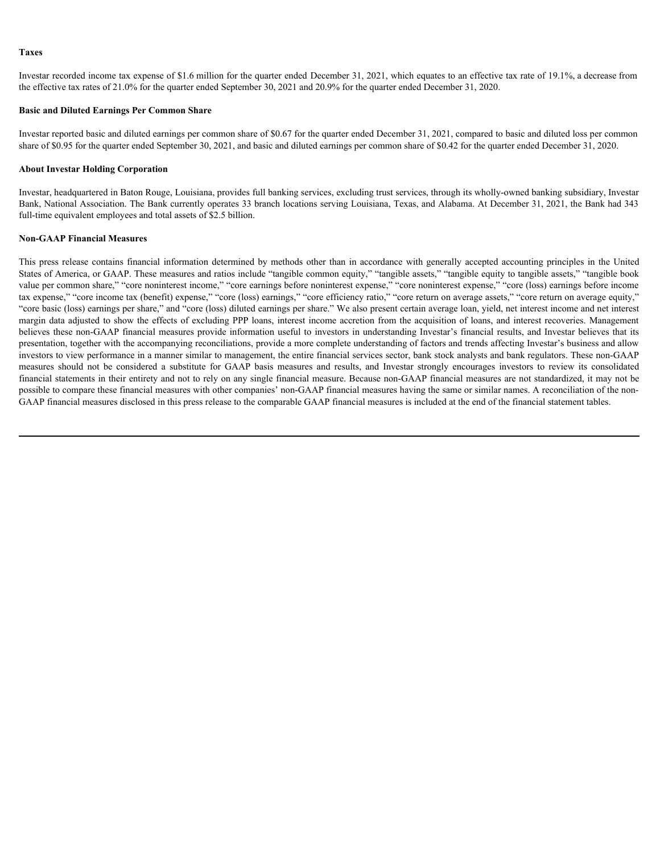#### **Taxes**

Investar recorded income tax expense of \$1.6 million for the quarter ended December 31, 2021, which equates to an effective tax rate of 19.1%, a decrease from the effective tax rates of 21.0% for the quarter ended September 30, 2021 and 20.9% for the quarter ended December 31, 2020.

# **Basic and Diluted Earnings Per Common Share**

Investar reported basic and diluted earnings per common share of \$0.67 for the quarter ended December 31, 2021, compared to basic and diluted loss per common share of \$0.95 for the quarter ended September 30, 2021, and basic and diluted earnings per common share of \$0.42 for the quarter ended December 31, 2020.

#### **About Investar Holding Corporation**

Investar, headquartered in Baton Rouge, Louisiana, provides full banking services, excluding trust services, through its wholly-owned banking subsidiary, Investar Bank, National Association. The Bank currently operates 33 branch locations serving Louisiana, Texas, and Alabama. At December 31, 2021, the Bank had 343 full-time equivalent employees and total assets of \$2.5 billion.

#### **Non-GAAP Financial Measures**

Thus<br>threstar recorded income nat express of \$1.6 million for the quarter ended December 31, 2021, which equates to an effective tax rate of 19.1%, a decrease from<br>the effective tax rates of 21.6% for the quarter ended Sep States of America, or GAAP. These measures and ratios include "tangible common equity," "tangible assets," "tangible equity to tangible assets," "tangible book value per common share," "core noninterest income," "core earnings before noninterest expense," "core noninterest expense," "core (loss) earnings before income tax expense," "core income tax (benefit) expense," "core (loss) earnings," "core efficiency ratio," "core return on average assets," "core return on average equity," "core basic (loss) earnings per share," and "core (loss) diluted earnings per share." We also present certain average loan, yield, net interest income and net interest margin data adjusted to show the effects of excluding PPP loans, interest income accretion from the acquisition of loans, and interest recoveries. Management believes these non-GAAP financial measures provide information useful to investors in understanding Investar's financial results, and Investar believes that its presentation, together with the accompanying reconciliations, provide a more complete understanding of factors and trends affecting Investar's business and allow investors to view performance in a manner similar to management, the entire financial services sector, bank stock analysts and bank regulators. These non-GAAP Trives<br>Investar coorded income tax exposure of \$1.8 million for the quanter onted December 31, 2021, which symmetric an and Review is active in the formula particle income of the formula particle and the media of the subst financial statements in their entirety and not to rely on any single financial measure. Because non-GAAP financial measures are not standardized, it may not be possible to compare these financial measures with other companies' non-GAAP financial measures having the same or similar names. A reconciliation of the non-GAAP financial measures disclosed in this press release to the comparable GAAP financial measures is included at the end of the financial statement tables.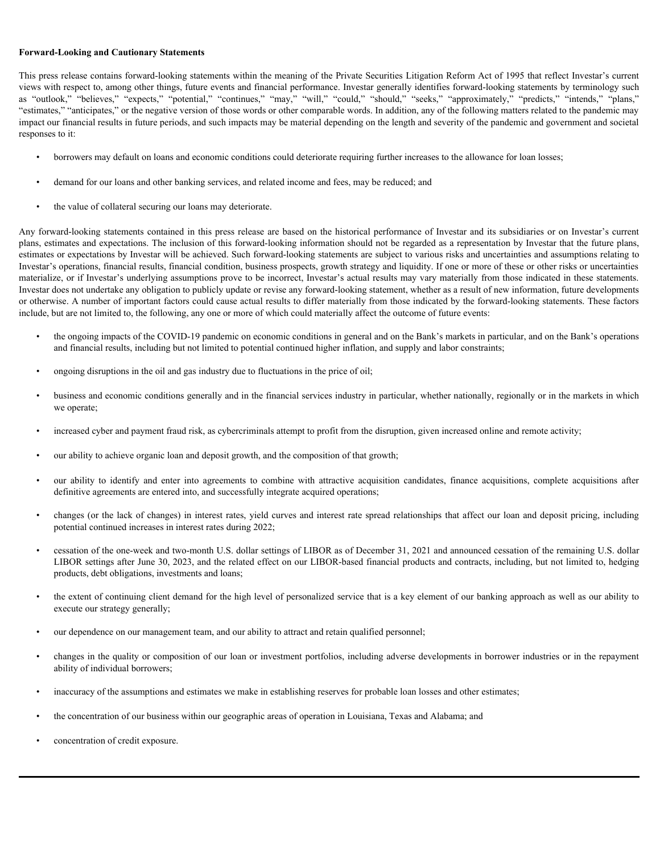#### **Forward-Looking and Cautionary Statements**

This press release contains forward-looking statements within the meaning of the Private Securities Litigation Reform Act of 1995 that reflect Investar's current views with respect to, among other things, future events and financial performance. Investar generally identifies forward-looking statements by terminology such as "outlook," "believes," "expects," "potential," "continues, **Forward-Looking and Cautionary Statements**<br>
This press release contains forward-looking statements within the meaning of the Private Securities Litigation Reform Act of 1995 that reflect Investar's current<br>
The private wi "estimates," "anticipates," or the negative version of those words or other comparable words. In addition, any of the following matters related to the pandemic may impact our financial results in future periods, and such impacts may be material depending on the length and severity of the pandemic and government and societal responses to it:

- borrowers may default on loans and economic conditions could deteriorate requiring further increases to the allowance for loan losses;
- demand for our loans and other banking services, and related income and fees, may be reduced; and
- the value of collateral securing our loans may deteriorate.

Any forward-looking statements contained in this press release are based on the historical performance of Investar and its subsidiaries or on Investar's current plans, estimates and expectations. The inclusion of this forward-looking information should not be regarded as a representation by Investar that the future plans, estimates or expectations by Investar will be achieved. Such forward-looking statements are subject to various risks and uncertainties and assumptions relating to Investar's operations, financial results, financial condition, business prospects, growth strategy and liquidity. If one or more of these or other risks or uncertainties materialize, or if Investar's underlying assumptions prove to be incorrect, Investar's actual results may vary materially from those indicated in these statements. Investar does not undertake any obligation to publicly update or revise any forward-looking statement, whether as a result of new information, future developments or otherwise. A number of important factors could cause actual results to differ materially from those indicated by the forward-looking statements. These factors include, but are not limited to, the following, any one or more of which could materially affect the outcome of future events: our our to the complete to the complete the state of the distribution of the state of the state of the state of the state of the state of the state of the state of the state of the state of the state of the state of the

- the ongoing impacts of the COVID-19 pandemic on economic conditions in general and on the Bank's markets in particular, and on the Bank's operations and financial results, including but not limited to potential continued higher inflation, and supply and labor constraints;
- ongoing disruptions in the oil and gas industry due to fluctuations in the price of oil;
- business and economic conditions generally and in the financial services industry in particular, whether nationally, regionally or in the markets in which we operate;
- increased cyber and payment fraud risk, as cybercriminals attempt to profit from the disruption, given increased online and remote activity;
- our ability to achieve organic loan and deposit growth, and the composition of that growth;
- definitive agreements are entered into, and successfully integrate acquired operations;
- changes (or the lack of changes) in interest rates, yield curves and interest rate spread relationships that affect our loan and deposit pricing, including potential continued increases in interest rates during 2022;
- cessation of the one-week and two-month U.S. dollar settings of LIBOR as of December 31, 2021 and announced cessation of the remaining U.S. dollar LIBOR settings after June 30, 2023, and the related effect on our LIBOR-based financial products and contracts, including, but not limited to, hedging products, debt obligations, investments and loans;
- the extent of continuing client demand for the high level of personalized service that is a key element of our banking approach as well as our ability to execute our strategy generally;
- our dependence on our management team, and our ability to attract and retain qualified personnel;
- changes in the quality or composition of our loan or investment portfolios, including adverse developments in borrower industries or in the repayment ability of individual borrowers;
- inaccuracy of the assumptions and estimates we make in establishing reserves for probable loan losses and other estimates;
- the concentration of our business within our geographic areas of operation in Louisiana, Texas and Alabama; and
- concentration of credit exposure.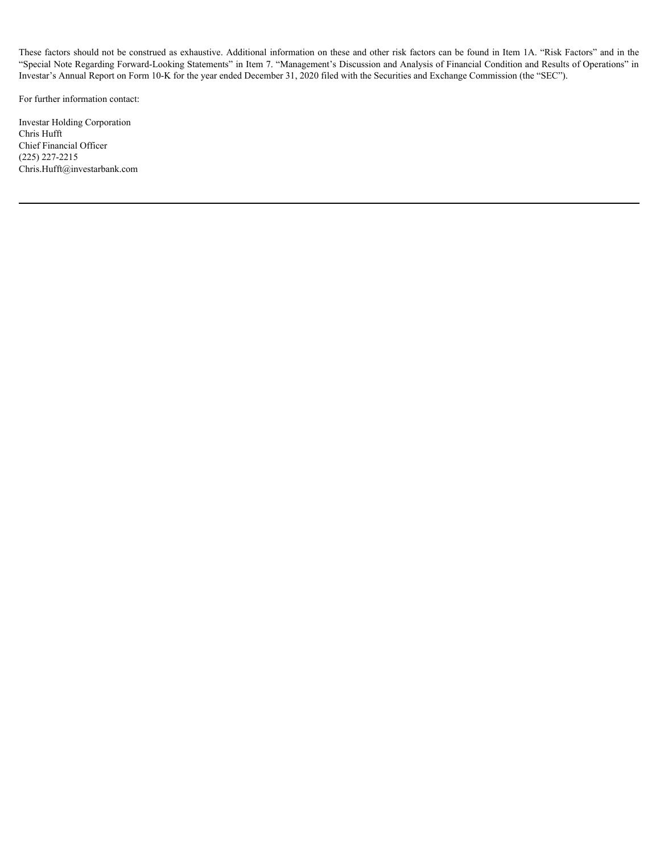These factors should not be construed as exhaustive. Additional information on these and other risk factors can be found in Item 1A. "Risk Factors" and in the "Special Note Regarding Forward-Looking Statements" in Item 7. "Management's Discussion and Analysis of Financial Condition and Results of Operations" in Investar's Annual Report on Form 10-K for the year ended December 31, 2020 filed with the Securities and Exchange Commission (the "SEC").

For further information contact:

Investar Holding Corporation Chris Hufft Chief Financial Officer (225) 227-2215 Chris.Hufft@investarbank.com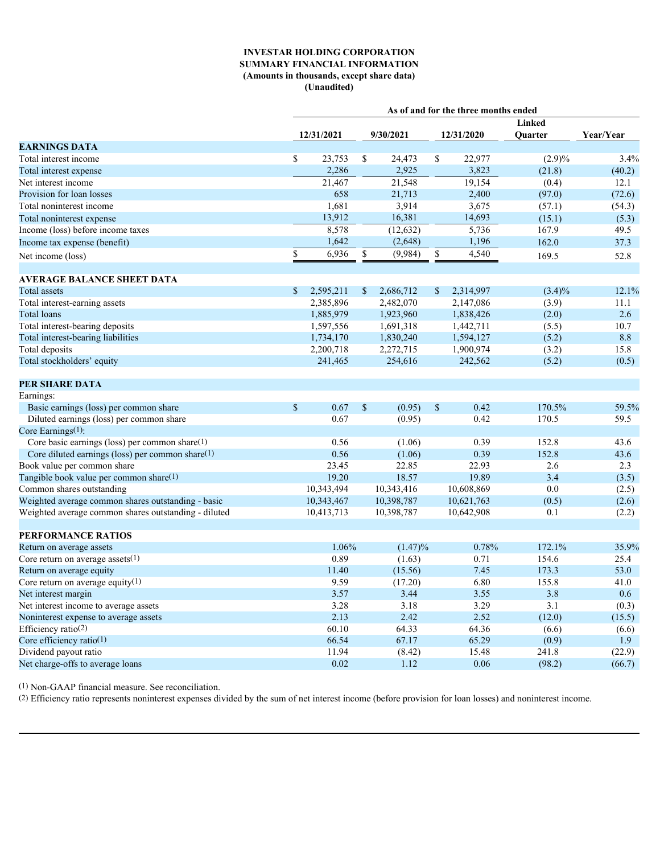# **INVESTAR HOLDING CORPORATION SUMMARY FINANCIAL INFORMATION (Amounts in thousands, except share data) (Unaudited)**

|                                                      |                           |               |              |              | As of and for the three months ended |           |           |
|------------------------------------------------------|---------------------------|---------------|--------------|--------------|--------------------------------------|-----------|-----------|
|                                                      |                           |               |              |              |                                      | Linked    |           |
|                                                      | 12/31/2021                |               | 9/30/2021    |              | 12/31/2020                           | Quarter   | Year/Year |
| <b>EARNINGS DATA</b>                                 |                           |               |              |              |                                      |           |           |
| Total interest income                                | 23,753<br>\$.             | <sup>\$</sup> | 24,473       | <sup>S</sup> | 22,977                               | $(2.9)\%$ | 3.4%      |
| Total interest expense                               | 2,286                     |               | 2,925        |              | 3,823                                | (21.8)    | (40.2)    |
| Net interest income                                  | 21,467                    |               | 21,548       |              | 19,154                               | (0.4)     | 12.1      |
| Provision for loan losses                            | 658                       |               | 21,713       |              | 2,400                                | (97.0)    | (72.6)    |
| Total noninterest income                             | 1,681                     |               | 3,914        |              | 3,675                                | (57.1)    | (54.3)    |
| Total noninterest expense                            | 13,912                    |               | 16,381       |              | 14,693                               | (15.1)    | (5.3)     |
| Income (loss) before income taxes                    | 8,578                     |               | (12, 632)    |              | 5,736                                | 167.9     | 49.5      |
| Income tax expense (benefit)                         | 1,642                     |               | (2,648)      |              | 1,196                                | 162.0     | 37.3      |
| Net income (loss)                                    | 6,936<br>\$.              | <sup>S</sup>  | $(9,984)$ \$ |              | 4,540                                | 169.5     | 52.8      |
|                                                      |                           |               |              |              |                                      |           |           |
| <b>AVERAGE BALANCE SHEET DATA</b>                    |                           |               |              |              |                                      |           |           |
| <b>Total</b> assets                                  | 2,595,211<br>$\mathbb{S}$ | <sup>\$</sup> | 2,686,712    | <sup>S</sup> | 2,314,997                            | $(3.4)\%$ | 12.1%     |
| Total interest-earning assets                        | 2,385,896                 |               | 2,482,070    |              | 2,147,086                            | (3.9)     | 11.1      |
| Total loans                                          | 1,885,979                 |               | 1,923,960    |              | 1,838,426                            | (2.0)     | 2.6       |
| Total interest-bearing deposits                      | 1,597,556                 |               | 1,691,318    |              | 1,442,711                            | (5.5)     | 10.7      |
| Total interest-bearing liabilities                   | 1,734,170                 |               | 1,830,240    |              | 1,594,127                            | (5.2)     | $8.8\,$   |
| Total deposits                                       | 2,200,718                 |               | 2,272,715    |              | 1,900,974                            | (3.2)     | 15.8      |
| Total stockholders' equity                           | 241,465                   |               | 254,616      |              | 242,562                              | (5.2)     | (0.5)     |
|                                                      |                           |               |              |              |                                      |           |           |
| <b>PER SHARE DATA</b>                                |                           |               |              |              |                                      |           |           |
| Earnings:                                            |                           |               |              |              |                                      |           |           |
| Basic earnings (loss) per common share               | 0.67<br>$\mathbb{S}$      | <sup>S</sup>  | $(0.95)$ \$  |              | 0.42                                 | 170.5%    | 59.5%     |
| Diluted earnings (loss) per common share             | 0.67                      |               | (0.95)       |              | 0.42                                 | 170.5     | 59.5      |
| Core Earnings(1):                                    |                           |               |              |              |                                      |           |           |
| Core basic earnings (loss) per common share(1)       | 0.56                      |               | (1.06)       |              | 0.39                                 | 152.8     | 43.6      |
| Core diluted earnings (loss) per common share $(1)$  | 0.56                      |               | (1.06)       |              | 0.39                                 | 152.8     | 43.6      |
| Book value per common share                          | 23.45                     |               | 22.85        |              | 22.93                                | 2.6       | 2.3       |
| Tangible book value per common share(1)              | 19.20                     |               | 18.57        |              | 19.89                                | 3.4       | (3.5)     |
| Common shares outstanding                            | 10,343,494                |               | 10,343,416   |              | 10,608,869                           | 0.0       | (2.5)     |
| Weighted average common shares outstanding - basic   | 10,343,467                |               | 10,398,787   |              | 10,621,763                           | (0.5)     | (2.6)     |
| Weighted average common shares outstanding - diluted | 10,413,713                |               | 10,398,787   |              | 10,642,908                           | 0.1       | (2.2)     |
|                                                      |                           |               |              |              |                                      |           |           |
| PERFORMANCE RATIOS                                   |                           |               |              |              |                                      |           |           |
| Return on average assets                             | 1.06%                     |               | $(1.47)\%$   |              | 0.78%                                | 172.1%    | 35.9%     |
| Core return on average assets $(1)$                  | 0.89                      |               | (1.63)       |              | 0.71                                 | 154.6     | 25.4      |
| Return on average equity                             | 11.40                     |               | (15.56)      |              | 7.45                                 | 173.3     | 53.0      |
| Core return on average equity $(1)$                  | 9.59                      |               | (17.20)      |              | 6.80                                 | 155.8     | 41.0      |
| Net interest margin                                  | 3.57                      |               | 3.44         |              | 3.55                                 | 3.8       | $0.6\,$   |
| Net interest income to average assets                | 3.28                      |               | 3.18         |              | 3.29                                 | 3.1       | (0.3)     |
| Noninterest expense to average assets                | 2.13                      |               | 2.42         |              | 2.52                                 | (12.0)    | (15.5)    |
| Efficiency ratio(2)                                  | 60.10                     |               | 64.33        |              | 64.36                                | (6.6)     | (6.6)     |
| Core efficiency ratio $(1)$                          | 66.54                     |               | 67.17        |              | 65.29                                | (0.9)     | 1.9       |
| Dividend payout ratio                                | 11.94                     |               | (8.42)       |              | 15.48                                | 241.8     | (22.9)    |
| Net charge-offs to average loans                     | 0.02                      |               | 1.12         |              | 0.06                                 | (98.2)    | (66.7)    |
|                                                      |                           |               |              |              |                                      |           |           |

(1) Non-GAAP financial measure. See reconciliation.

(2) Efficiency ratio represents noninterest expenses divided by the sum of net interest income (before provision for loan losses) and noninterest income.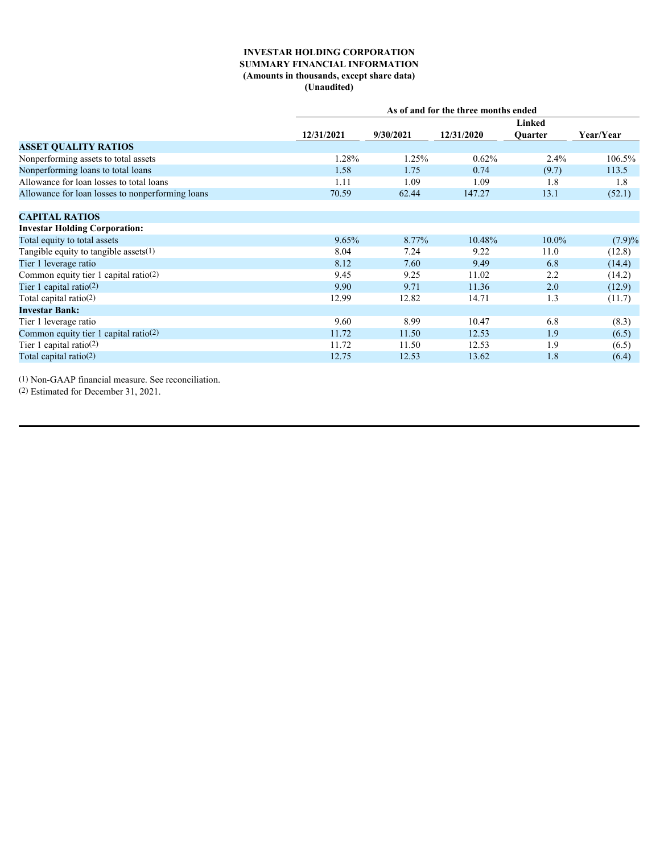# **INVESTAR HOLDING CORPORATION SUMMARY FINANCIAL INFORMATION (Amounts in thousands, except share data) (Unaudited)**

|            |           |            | Linked   |                                      |  |
|------------|-----------|------------|----------|--------------------------------------|--|
| 12/31/2021 | 9/30/2021 | 12/31/2020 | Quarter  | Year/Year                            |  |
|            |           |            |          |                                      |  |
| 1.28%      | 1.25%     | 0.62%      | $2.4\%$  | 106.5%                               |  |
| 1.58       | 1.75      | 0.74       | (9.7)    | 113.5                                |  |
| 1.11       | 1.09      | 1.09       | 1.8      | 1.8                                  |  |
| 70.59      | 62.44     | 147.27     | 13.1     | (52.1)                               |  |
|            |           |            |          |                                      |  |
|            |           |            |          |                                      |  |
|            |           |            |          |                                      |  |
| 9.65%      | 8.77%     | 10.48%     | $10.0\%$ | (7.9)%                               |  |
| 8.04       | 7.24      | 9.22       | 11.0     | (12.8)                               |  |
| 8.12       | 7.60      | 9.49       | 6.8      | (14.4)                               |  |
| 9.45       | 9.25      | 11.02      | 2.2      | (14.2)                               |  |
| 9.90       | 9.71      | 11.36      | 2.0      | (12.9)                               |  |
| 12.99      | 12.82     | 14.71      | 1.3      | (11.7)                               |  |
|            |           |            |          |                                      |  |
| 9.60       | 8.99      | 10.47      | 6.8      | (8.3)                                |  |
| 11.72      | 11.50     | 12.53      | 1.9      | (6.5)                                |  |
| 11.72      | 11.50     | 12.53      | 1.9      | (6.5)                                |  |
| 12.75      | 12.53     | 13.62      | 1.8      | (6.4)                                |  |
|            |           |            |          | As of and for the three months ended |  |

(1) Non-GAAP financial measure. See reconciliation.

(2) Estimated for December 31, 2021.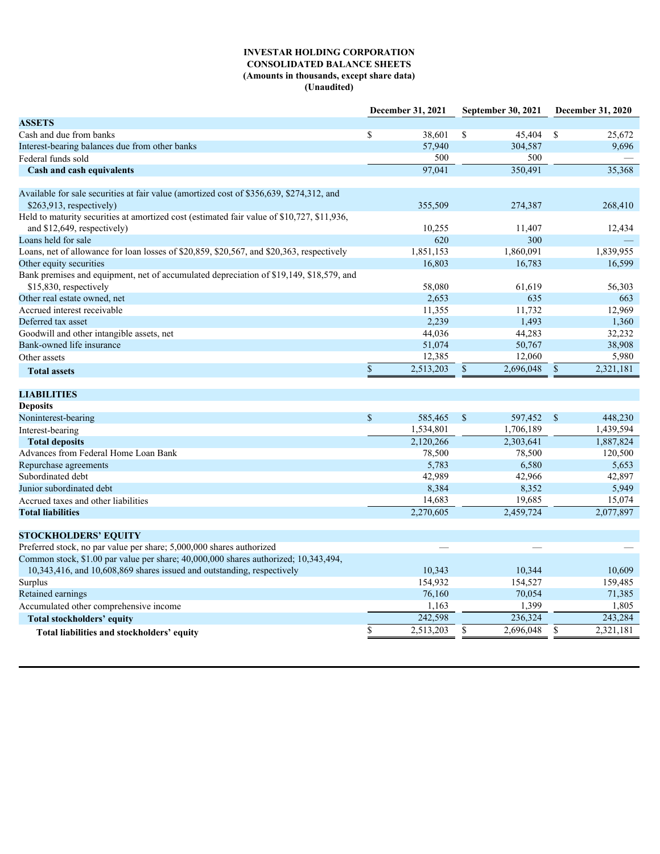# **INVESTAR HOLDING CORPORATION CONSOLIDATED BALANCE SHEETS (Amounts in thousands, except share data) (Unaudited)**

|                                                                                         |           |                                                                                                                                                                                                                             |                            |                                                                                                                                                                                                                            | December 31, 2020       |
|-----------------------------------------------------------------------------------------|-----------|-----------------------------------------------------------------------------------------------------------------------------------------------------------------------------------------------------------------------------|----------------------------|----------------------------------------------------------------------------------------------------------------------------------------------------------------------------------------------------------------------------|-------------------------|
|                                                                                         |           |                                                                                                                                                                                                                             |                            |                                                                                                                                                                                                                            |                         |
| <sup>S</sup>                                                                            | 38,601    |                                                                                                                                                                                                                             |                            |                                                                                                                                                                                                                            | 25,672                  |
|                                                                                         | 57,940    |                                                                                                                                                                                                                             | 304,587                    |                                                                                                                                                                                                                            | 9,696                   |
|                                                                                         |           |                                                                                                                                                                                                                             |                            |                                                                                                                                                                                                                            |                         |
|                                                                                         | 97,041    |                                                                                                                                                                                                                             | 350,491                    |                                                                                                                                                                                                                            | 35,368                  |
|                                                                                         |           |                                                                                                                                                                                                                             |                            |                                                                                                                                                                                                                            |                         |
|                                                                                         |           |                                                                                                                                                                                                                             |                            |                                                                                                                                                                                                                            |                         |
|                                                                                         |           |                                                                                                                                                                                                                             |                            |                                                                                                                                                                                                                            | 268,410                 |
|                                                                                         |           |                                                                                                                                                                                                                             |                            |                                                                                                                                                                                                                            |                         |
|                                                                                         |           |                                                                                                                                                                                                                             |                            |                                                                                                                                                                                                                            | 12,434                  |
|                                                                                         |           |                                                                                                                                                                                                                             |                            |                                                                                                                                                                                                                            |                         |
|                                                                                         |           |                                                                                                                                                                                                                             |                            |                                                                                                                                                                                                                            | 1,839,955               |
|                                                                                         |           |                                                                                                                                                                                                                             |                            |                                                                                                                                                                                                                            | 16,599                  |
| Bank premises and equipment, net of accumulated depreciation of \$19,149, \$18,579, and |           |                                                                                                                                                                                                                             |                            |                                                                                                                                                                                                                            |                         |
|                                                                                         |           |                                                                                                                                                                                                                             |                            |                                                                                                                                                                                                                            | 56,303                  |
|                                                                                         |           |                                                                                                                                                                                                                             |                            |                                                                                                                                                                                                                            | 663                     |
|                                                                                         | 11,355    |                                                                                                                                                                                                                             | 11,732                     |                                                                                                                                                                                                                            | 12,969                  |
|                                                                                         | 2,239     |                                                                                                                                                                                                                             | 1,493                      |                                                                                                                                                                                                                            | 1,360                   |
|                                                                                         | 44,036    |                                                                                                                                                                                                                             | 44,283                     |                                                                                                                                                                                                                            | 32,232                  |
|                                                                                         | 51,074    |                                                                                                                                                                                                                             | 50,767                     |                                                                                                                                                                                                                            | 38,908                  |
|                                                                                         |           |                                                                                                                                                                                                                             |                            |                                                                                                                                                                                                                            | 5,980                   |
|                                                                                         | 2,513,203 | <sup>\$</sup>                                                                                                                                                                                                               | 2,696,048                  |                                                                                                                                                                                                                            | 2,321,181               |
|                                                                                         |           |                                                                                                                                                                                                                             |                            |                                                                                                                                                                                                                            |                         |
|                                                                                         |           |                                                                                                                                                                                                                             |                            |                                                                                                                                                                                                                            |                         |
|                                                                                         |           |                                                                                                                                                                                                                             |                            |                                                                                                                                                                                                                            |                         |
| $\mathbb{S}$                                                                            |           |                                                                                                                                                                                                                             |                            |                                                                                                                                                                                                                            | 448,230                 |
|                                                                                         | 1,534,801 |                                                                                                                                                                                                                             | 1,706,189                  |                                                                                                                                                                                                                            | 1,439,594               |
|                                                                                         | 2,120,266 |                                                                                                                                                                                                                             | 2,303,641                  |                                                                                                                                                                                                                            | 1,887,824               |
|                                                                                         | 78,500    |                                                                                                                                                                                                                             | 78,500                     |                                                                                                                                                                                                                            | 120,500                 |
|                                                                                         |           |                                                                                                                                                                                                                             |                            |                                                                                                                                                                                                                            | 5,653                   |
|                                                                                         |           |                                                                                                                                                                                                                             |                            |                                                                                                                                                                                                                            | 42,897                  |
|                                                                                         |           |                                                                                                                                                                                                                             |                            |                                                                                                                                                                                                                            | 5,949                   |
|                                                                                         |           |                                                                                                                                                                                                                             |                            |                                                                                                                                                                                                                            | 15,074                  |
|                                                                                         |           |                                                                                                                                                                                                                             |                            |                                                                                                                                                                                                                            | 2,077,897               |
|                                                                                         |           |                                                                                                                                                                                                                             |                            |                                                                                                                                                                                                                            |                         |
|                                                                                         |           |                                                                                                                                                                                                                             |                            |                                                                                                                                                                                                                            |                         |
|                                                                                         |           |                                                                                                                                                                                                                             |                            |                                                                                                                                                                                                                            |                         |
|                                                                                         |           |                                                                                                                                                                                                                             |                            |                                                                                                                                                                                                                            |                         |
|                                                                                         |           |                                                                                                                                                                                                                             |                            |                                                                                                                                                                                                                            | 10,609                  |
|                                                                                         |           |                                                                                                                                                                                                                             |                            |                                                                                                                                                                                                                            | 159,485                 |
|                                                                                         |           |                                                                                                                                                                                                                             |                            |                                                                                                                                                                                                                            | 71,385                  |
|                                                                                         |           |                                                                                                                                                                                                                             |                            |                                                                                                                                                                                                                            | 1,805                   |
|                                                                                         |           |                                                                                                                                                                                                                             |                            |                                                                                                                                                                                                                            | 243,284                 |
|                                                                                         |           |                                                                                                                                                                                                                             |                            |                                                                                                                                                                                                                            | 2,321,181               |
|                                                                                         |           |                                                                                                                                                                                                                             |                            |                                                                                                                                                                                                                            |                         |
|                                                                                         |           | December 31, 2021<br>500<br>355,509<br>10,255<br>620<br>1,851,153<br>16,803<br>58,080<br>2,653<br>12,385<br>5,783<br>42,989<br>8,384<br>14,683<br>2,270,605<br>10,343<br>154,932<br>76,160<br>1,163<br>242,598<br>2,513,203 | $\mathbf{s}$<br>585,465 \$ | September 30, 2021<br>500<br>274,387<br>11,407<br>300<br>1,860,091<br>16,783<br>61,619<br>635<br>12,060<br>6,580<br>42,966<br>8,352<br>19,685<br>2,459,724<br>10,344<br>154,527<br>70,054<br>1,399<br>236,324<br>2,696,048 | 45,404 \$<br>597,452 \$ |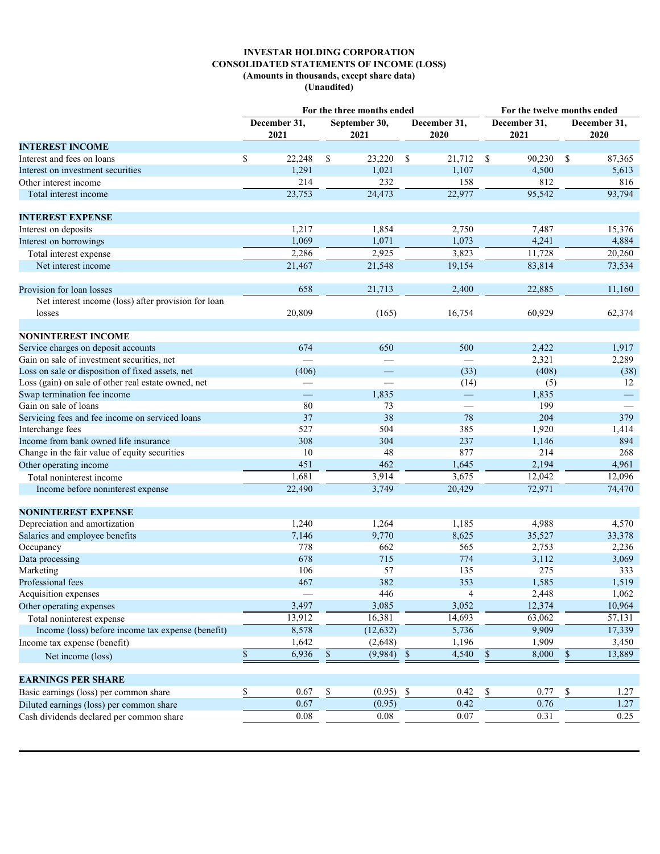# **INVESTAR HOLDING CORPORATION CONSOLIDATED STATEMENTS OF INCOME (LOSS) (Amounts in thousands, except share data) (Unaudited)**

|                                                     | For the three months ended  |                                 |                                  | For the twelve months ended |                          |  |  |  |
|-----------------------------------------------------|-----------------------------|---------------------------------|----------------------------------|-----------------------------|--------------------------|--|--|--|
|                                                     | December 31,<br>2021        | September 30,<br>2021           | December 31,<br>2020             | December 31,<br>2021        | December 31,<br>2020     |  |  |  |
| <b>INTEREST INCOME</b>                              |                             |                                 |                                  |                             |                          |  |  |  |
| Interest and fees on loans                          | $22,248$ \$<br><sup>S</sup> | 23,220 \$                       | 21,712 \$                        | 90,230 \$                   | 87,365                   |  |  |  |
| Interest on investment securities                   | 1,291                       | 1,021                           | 1,107                            | 4,500                       | 5,613                    |  |  |  |
| Other interest income                               | 214                         | 232                             | 158                              | 812                         | 816                      |  |  |  |
| Total interest income                               | 23,753                      | 24,473                          | 22,977                           | 95,542                      | 93,794                   |  |  |  |
|                                                     |                             |                                 |                                  |                             |                          |  |  |  |
| <b>INTEREST EXPENSE</b>                             |                             |                                 |                                  |                             |                          |  |  |  |
| Interest on deposits                                | 1,217                       | 1,854                           | 2,750                            | 7,487                       | 15,376                   |  |  |  |
| Interest on borrowings                              | 1,069                       | 1,071                           | 1,073                            | 4,241                       | 4,884                    |  |  |  |
| Total interest expense                              | 2,286                       | 2,925                           | 3,823                            | 11,728                      | 20,260                   |  |  |  |
| Net interest income                                 | 21,467                      | 21,548                          | 19,154                           | 83,814                      | 73,534                   |  |  |  |
|                                                     |                             |                                 |                                  |                             |                          |  |  |  |
| Provision for loan losses                           | 658                         | 21,713                          | 2,400                            | 22,885                      | 11,160                   |  |  |  |
| Net interest income (loss) after provision for loan |                             |                                 |                                  |                             |                          |  |  |  |
| losses                                              | 20,809                      | (165)                           | 16,754                           | 60,929                      | 62,374                   |  |  |  |
|                                                     |                             |                                 |                                  |                             |                          |  |  |  |
| <b>NONINTEREST INCOME</b>                           |                             |                                 |                                  |                             |                          |  |  |  |
| Service charges on deposit accounts                 | 674                         | 650                             | 500                              | 2,422                       | 1,917                    |  |  |  |
| Gain on sale of investment securities, net          |                             | $\hspace{0.1mm}-\hspace{0.1mm}$ |                                  | 2,321                       | 2,289                    |  |  |  |
| Loss on sale or disposition of fixed assets, net    | (406)                       | $\hspace{0.1mm}-\hspace{0.1mm}$ | (33)                             | (408)                       | (38)                     |  |  |  |
| Loss (gain) on sale of other real estate owned, net | $\overline{\phantom{m}}$    | $\overline{\phantom{a}}$        |                                  | (5)                         | 12                       |  |  |  |
| Swap termination fee income                         | $\overline{\phantom{m}}$    | 1,835                           | (14)<br>$\overline{\phantom{a}}$ | 1,835                       | $\equiv$                 |  |  |  |
| Gain on sale of loans                               | 80                          | 73                              |                                  | 199                         | $\overline{\phantom{m}}$ |  |  |  |
|                                                     | 37                          | 38                              |                                  | 204                         | 379                      |  |  |  |
| Servicing fees and fee income on serviced loans     |                             |                                 | 78                               |                             |                          |  |  |  |
| Interchange fees                                    | 527                         | 504                             | 385                              | 1,920                       | 1,414<br>894             |  |  |  |
| Income from bank owned life insurance               | 308                         | 304                             | 237                              | 1,146                       |                          |  |  |  |
| Change in the fair value of equity securities       | 10                          | 48                              | 877                              | 214                         | 268                      |  |  |  |
| Other operating income                              | 451                         | 462                             | 1,645                            | 2,194                       | 4,961                    |  |  |  |
| Total noninterest income                            | 1,681                       | 3,914                           | 3,675                            | 12,042                      | 12,096                   |  |  |  |
| Income before noninterest expense                   | 22,490                      | 3,749                           | 20,429                           | 72,971                      | 74,470                   |  |  |  |
| <b>NONINTEREST EXPENSE</b>                          |                             |                                 |                                  |                             |                          |  |  |  |
| Depreciation and amortization                       | 1,240                       | 1,264                           | 1,185                            | 4,988                       | 4,570                    |  |  |  |
| Salaries and employee benefits                      | 7,146                       | 9,770                           | 8,625                            | 35,527                      | 33,378                   |  |  |  |
| Occupancy                                           | 778                         | 662                             | 565                              | 2,753                       | 2,236                    |  |  |  |
| Data processing                                     | 678                         | 715                             | 774                              | 3,112                       | 3,069                    |  |  |  |
| Marketing                                           | 106                         | 57                              | 135                              | 275                         | 333                      |  |  |  |
| Professional fees                                   | 467                         | 382                             | 353                              | 1,585                       | 1,519                    |  |  |  |
| Acquisition expenses                                |                             | 446                             | -4                               | 2,448                       | 1,062                    |  |  |  |
| Other operating expenses                            | 3,497                       | 3,085                           | 3,052                            | 12,374                      | 10,964                   |  |  |  |
| Total noninterest expense                           | 13,912                      | 16,381                          | 14,693                           | 63,062                      | 57,131                   |  |  |  |
| Income (loss) before income tax expense (benefit)   |                             |                                 | 5,736                            | 9,909                       |                          |  |  |  |
|                                                     | 8,578                       | (12, 632)                       |                                  |                             | 17,339                   |  |  |  |
| Income tax expense (benefit)                        | 1,642                       | (2,648)                         | 1,196                            | 1,909                       | 3,450                    |  |  |  |
| Net income (loss)                                   | $6,936$ \$                  | $(9,984)$ \$                    | $4,540$ \$                       | $8,000$ $\overline{\$}$     | 13,889                   |  |  |  |
| <b>EARNINGS PER SHARE</b>                           |                             |                                 |                                  |                             |                          |  |  |  |
| Basic earnings (loss) per common share              | 0.67                        | $(0.95)$ \$<br><sup>\$</sup>    | 0.42 S                           | 0.77                        | 1.27<br>-S               |  |  |  |
|                                                     |                             |                                 |                                  |                             |                          |  |  |  |
| Diluted earnings (loss) per common share            | 0.67                        | (0.95)                          | 0.42                             | 0.76                        | 1.27                     |  |  |  |
| Cash dividends declared per common share            | 0.08                        | 0.08                            | 0.07                             | 0.31                        | 0.25                     |  |  |  |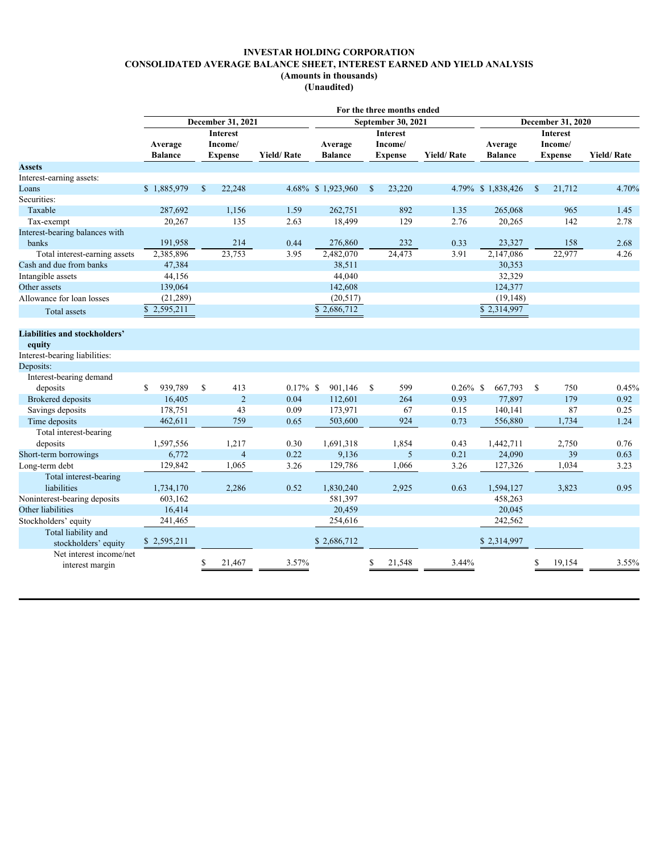# **INVESTAR HOLDING CORPORATION CONSOLIDATED AVERAGE BALANCE SHEET, INTEREST EARNED AND YIELD ANALYSIS (Amounts in thousands)**

**(Unaudited)**

|                                      |                          |                          |                   |                         | For the three months ended |                   |                          |                        |                   |  |
|--------------------------------------|--------------------------|--------------------------|-------------------|-------------------------|----------------------------|-------------------|--------------------------|------------------------|-------------------|--|
|                                      |                          | <b>December 31, 2021</b> |                   |                         | September 30, 2021         |                   | <b>December 31, 2020</b> |                        |                   |  |
|                                      | <b>Interest</b>          |                          |                   |                         | <b>Interest</b>            |                   | <b>Interest</b>          |                        |                   |  |
|                                      | Average                  | Income/                  |                   | Average                 | Income/                    |                   | Average                  | Income/                |                   |  |
|                                      | <b>Balance</b>           | <b>Expense</b>           | <b>Yield/Rate</b> | <b>Balance</b>          | <b>Expense</b>             | <b>Yield/Rate</b> | <b>Balance</b>           | <b>Expense</b>         | <b>Yield/Rate</b> |  |
| <b>Assets</b>                        |                          |                          |                   |                         |                            |                   |                          |                        |                   |  |
| Interest-earning assets:             |                          |                          |                   |                         |                            |                   |                          |                        |                   |  |
| Loans                                | \$1,885,979              | 22,248<br>S              |                   | 4.68% \$1,923,960       | 23,220<br><sup>S</sup>     |                   | 4.79% \$1,838,426        | 21,712<br>$\mathbf{s}$ | 4.70%             |  |
| Securities:                          |                          |                          |                   |                         |                            |                   |                          |                        |                   |  |
| Taxable                              | 287,692                  | 1,156                    | 1.59              | 262,751                 | 892                        | 1.35              | 265,068                  | 965                    | 1.45              |  |
| Tax-exempt                           | 20,267                   | 135                      | 2.63              | 18,499                  | 129                        | 2.76              | 20,265                   | 142                    | 2.78              |  |
| Interest-bearing balances with       |                          |                          |                   |                         |                            |                   |                          |                        |                   |  |
| banks                                | 191,958                  | 214                      | 0.44              | 276,860                 | 232                        | 0.33              | 23,327                   | 158                    | 2.68              |  |
| Total interest-earning assets        | 2,385,896                | 23,753                   | 3.95              | 2,482,070               | 24,473                     | 3.91              | 2,147,086                | 22,977                 | 4.26              |  |
| Cash and due from banks              | 47,384                   |                          |                   | 38,511                  |                            |                   | 30,353                   |                        |                   |  |
| Intangible assets                    | 44,156                   |                          |                   | 44,040                  |                            |                   | 32,329                   |                        |                   |  |
| Other assets                         | 139,064                  |                          |                   | 142,608                 |                            |                   | 124,377                  |                        |                   |  |
| Allowance for loan losses            | (21, 289)                |                          |                   | (20,517)                |                            |                   | (19, 148)                |                        |                   |  |
| Total assets                         | $\overline{8}$ 2,595,211 |                          |                   | $\overline{$}2,686,712$ |                            |                   | $\overline{$}$ 2,314,997 |                        |                   |  |
|                                      |                          |                          |                   |                         |                            |                   |                          |                        |                   |  |
| <b>Liabilities and stockholders'</b> |                          |                          |                   |                         |                            |                   |                          |                        |                   |  |
| equity                               |                          |                          |                   |                         |                            |                   |                          |                        |                   |  |
| Interest-bearing liabilities:        |                          |                          |                   |                         |                            |                   |                          |                        |                   |  |
| Deposits:                            |                          |                          |                   |                         |                            |                   |                          |                        |                   |  |
| Interest-bearing demand              |                          |                          |                   |                         |                            |                   |                          |                        |                   |  |
| deposits                             | \$939,789                | $\mathbf{s}$<br>413      | $0.17\%$ \$       | 901,146 \$              | 599                        | $0.26\%$ \$       | 667,793 \$               | 750                    | 0.45%             |  |
| <b>Brokered</b> deposits             | 16,405                   | 2                        | 0.04              | 112,601                 | 264                        | 0.93              | 77,897                   | 179                    | 0.92              |  |
| Savings deposits                     | 178,751                  | 43                       | 0.09              | 173,971                 | 67                         | 0.15              | 140,141                  | 87                     | 0.25              |  |
| Time deposits                        | 462,611                  | 759                      | 0.65              | 503,600                 | 924                        | 0.73              | 556,880                  | 1,734                  | 1.24              |  |
|                                      |                          |                          |                   |                         |                            |                   |                          |                        |                   |  |
| Total interest-bearing               |                          |                          |                   |                         |                            |                   |                          |                        |                   |  |
| deposits                             | 1,597,556                | 1,217                    | 0.30              | 1,691,318               | 1,854                      | 0.43              | 1,442,711                | 2,750                  | 0.76              |  |
| Short-term borrowings                | 6,772                    | $\overline{4}$           | 0.22              | 9,136                   | 5                          | 0.21              | 24,090                   | 39                     | 0.63              |  |
| Long-term debt                       | 129,842                  | 1,065                    | 3.26              | 129,786                 | 1,066                      | 3.26              | 127,326                  | 1,034                  | 3.23              |  |
| Total interest-bearing               |                          |                          |                   |                         |                            |                   |                          |                        |                   |  |
| liabilities                          | 1,734,170                | 2,286                    | 0.52              | 1,830,240               | 2,925                      | 0.63              | 1,594,127                | 3,823                  | 0.95              |  |
| Noninterest-bearing deposits         | 603,162                  |                          |                   | 581,397                 |                            |                   | 458,263                  |                        |                   |  |
| Other liabilities                    | 16,414                   |                          |                   | 20,459                  |                            |                   | 20,045                   |                        |                   |  |
| Stockholders' equity                 | 241,465                  |                          |                   | 254,616                 |                            |                   | 242,562                  |                        |                   |  |
| Total liability and                  |                          |                          |                   |                         |                            |                   |                          |                        |                   |  |
| stockholders' equity                 | \$2,595,211              |                          |                   | \$2,686,712             |                            |                   | \$2,314,997              |                        |                   |  |
| Net interest income/net              |                          |                          |                   |                         |                            |                   |                          |                        |                   |  |
| interest margin                      |                          | 21,467<br>£.             | 3.57%             |                         | 21,548<br>£.               | 3.44%             |                          | 19,154<br>S.           | 3.55%             |  |
|                                      |                          |                          |                   |                         |                            |                   |                          |                        |                   |  |
|                                      |                          |                          |                   |                         |                            |                   |                          |                        |                   |  |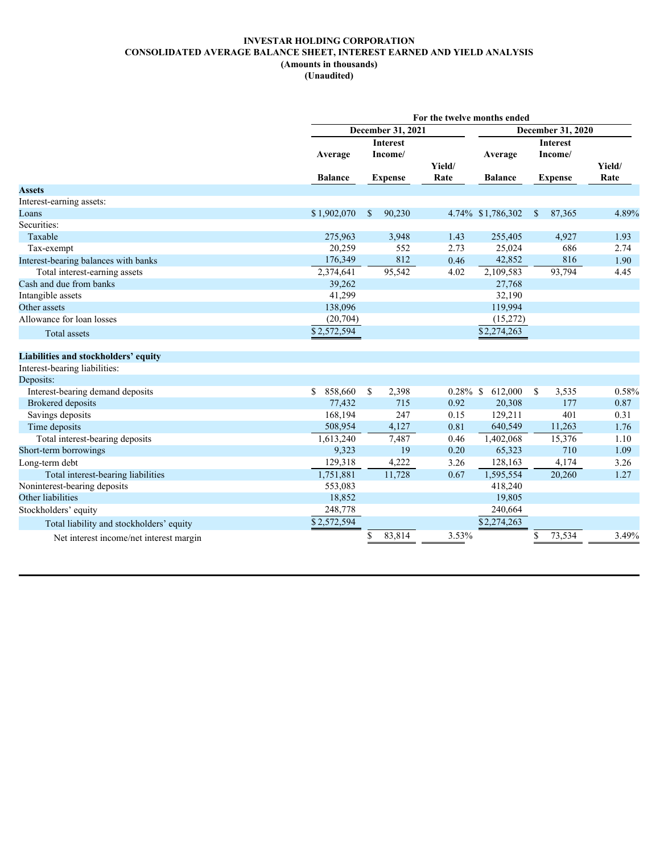# **INVESTAR HOLDING CORPORATION CONSOLIDATED AVERAGE BALANCE SHEET, INTEREST EARNED AND YIELD ANALYSIS (Amounts in thousands) (Unaudited)**

|                                          |                 |                   |             | For the twelve months ended |                          |        |
|------------------------------------------|-----------------|-------------------|-------------|-----------------------------|--------------------------|--------|
|                                          |                 | December 31, 2021 |             |                             | <b>December 31, 2020</b> |        |
|                                          |                 | Interest          |             |                             | <b>Interest</b>          |        |
|                                          | Average         | Income/           |             | Average                     | Income/                  |        |
|                                          |                 |                   | Yield/      |                             |                          | Yield/ |
|                                          | <b>Balance</b>  | <b>Expense</b>    | Rate        | <b>Balance</b>              | <b>Expense</b>           | Rate   |
| <b>Assets</b>                            |                 |                   |             |                             |                          |        |
| Interest-earning assets:                 |                 |                   |             |                             |                          |        |
| Loans                                    | \$1,902,070     | 90,230<br>- \$    |             | 4.74% \$1,786,302 \$        | 87,365                   | 4.89%  |
| Securities:                              |                 |                   |             |                             |                          |        |
| Taxable                                  | 275,963         | 3,948             | 1.43        | 255,405                     | 4,927                    | 1.93   |
| Tax-exempt                               | 20,259          | 552               | 2.73        | 25,024                      | 686                      | 2.74   |
| Interest-bearing balances with banks     | 176,349         | 812               | 0.46        | 42,852                      | 816                      | 1.90   |
| Total interest-earning assets            | 2,374,641       | 95,542            | 4.02        | 2,109,583                   | 93,794                   | 4.45   |
| Cash and due from banks                  | 39,262          |                   |             | 27,768                      |                          |        |
| Intangible assets                        | 41,299          |                   |             | 32,190                      |                          |        |
| Other assets                             | 138,096         |                   |             | 119,994                     |                          |        |
| Allowance for loan losses                | (20, 704)       |                   |             | (15,272)                    |                          |        |
| Total assets                             | \$2,572,594     |                   |             | \$2,274,263                 |                          |        |
|                                          |                 |                   |             |                             |                          |        |
| Liabilities and stockholders' equity     |                 |                   |             |                             |                          |        |
| Interest-bearing liabilities:            |                 |                   |             |                             |                          |        |
| Deposits:                                |                 |                   |             |                             |                          |        |
| Interest-bearing demand deposits         | $$858,660$ \ \$ | 2,398             | $0.28\%$ \$ | 612,000                     | 3,535<br>- \$            | 0.58%  |
| <b>Brokered</b> deposits                 | 77,432          | 715               | 0.92        | 20,308                      | 177                      | 0.87   |
| Savings deposits                         | 168,194         | 247               | 0.15        | 129,211                     | 401                      | 0.31   |
| Time deposits                            | 508,954         | 4,127             | 0.81        | 640,549                     | 11,263                   | 1.76   |
| Total interest-bearing deposits          | 1,613,240       | 7,487             | 0.46        | 1,402,068                   | 15,376                   | 1.10   |
| Short-term borrowings                    | 9,323           | 19                | 0.20        | 65,323                      | 710                      | 1.09   |
|                                          | 129,318         | 4,222             | 3.26        | 128,163                     | 4,174                    | 3.26   |
| Long-term debt                           | 1,751,881       | 11,728            | 0.67        | 1,595,554                   | 20,260                   | 1.27   |
| Total interest-bearing liabilities       |                 |                   |             |                             |                          |        |
| Noninterest-bearing deposits             | 553,083         |                   |             | 418,240                     |                          |        |
| Other liabilities                        | 18,852          |                   |             | 19,805                      |                          |        |
| Stockholders' equity                     | 248,778         |                   |             | 240,664                     |                          |        |
| Total liability and stockholders' equity | \$2,572,594     |                   |             | \$2,274,263                 |                          |        |
| Net interest income/net interest margin  |                 | 83,814            | 3.53%       |                             | 73,534<br>\$             | 3.49%  |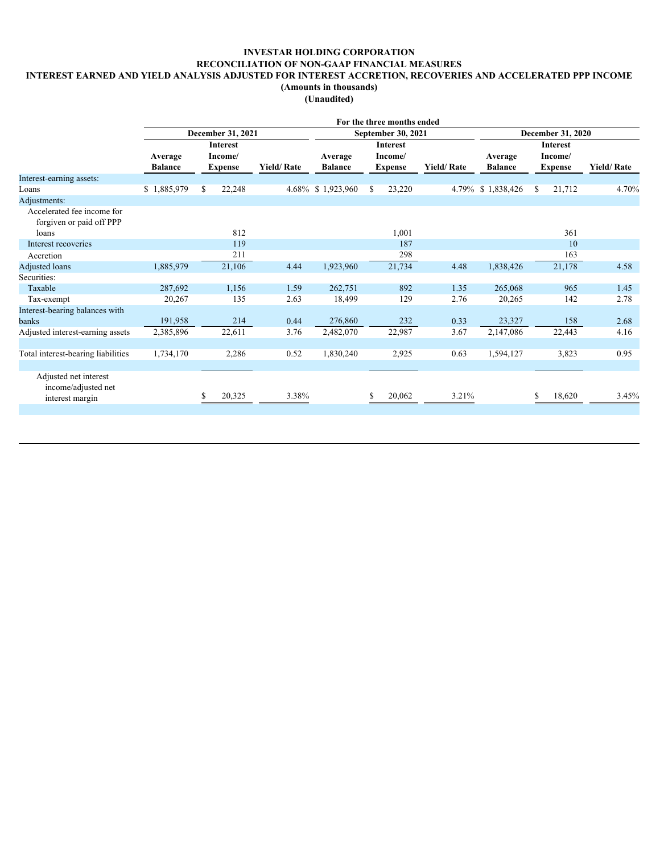# **INVESTAR HOLDING CORPORATION RECONCILIATION OF NON-GAAP FINANCIAL MEASURES**

# **INTEREST EARNED AND YIELD ANALYSIS ADJUSTED FOR INTEREST ACCRETION, RECOVERIES AND ACCELERATED PPP INCOME**

**(Amounts in thousands)**

**(Unaudited)**

|                                                        |                           |                            |                          |                           | For the three months ended |                   |                           |                            |                   |  |
|--------------------------------------------------------|---------------------------|----------------------------|--------------------------|---------------------------|----------------------------|-------------------|---------------------------|----------------------------|-------------------|--|
|                                                        |                           | December 31, 2021          | <b>December 31, 2020</b> |                           |                            |                   |                           |                            |                   |  |
|                                                        |                           | <b>Interest</b><br>Income/ |                          |                           | <b>Interest</b>            |                   |                           | <b>Interest</b><br>Income/ |                   |  |
|                                                        | Average<br><b>Balance</b> | Expense                    | <b>Yield/Rate</b>        | Average<br><b>Balance</b> | Income/<br><b>Expense</b>  | <b>Yield/Rate</b> | Average<br><b>Balance</b> | Expense                    | <b>Yield/Rate</b> |  |
| Interest-earning assets:                               |                           |                            |                          |                           |                            |                   |                           |                            |                   |  |
| Loans                                                  | \$1,885,979               | 22,248                     |                          | 4.68% \$1,923,960         | 23,220<br>-S               |                   | 4.79% \$1,838,426         | 21,712<br>-S               | 4.70%             |  |
| Adjustments:                                           |                           |                            |                          |                           |                            |                   |                           |                            |                   |  |
| Accelerated fee income for<br>forgiven or paid off PPP |                           |                            |                          |                           |                            |                   |                           |                            |                   |  |
| loans                                                  |                           | 812                        |                          |                           | 1,001                      |                   |                           | 361                        |                   |  |
| Interest recoveries                                    |                           | 119                        |                          |                           | 187                        |                   |                           | 10                         |                   |  |
| Accretion                                              |                           | 211                        |                          |                           | 298                        |                   |                           | 163                        |                   |  |
| Adjusted loans                                         | 1,885,979                 | 21,106                     | 4.44                     | 1,923,960                 | 21,734                     | 4.48              | 1,838,426                 | 21,178                     | 4.58              |  |
| Securities:                                            |                           |                            |                          |                           |                            |                   |                           |                            |                   |  |
| Taxable                                                | 287,692                   | 1,156                      | 1.59                     | 262,751                   | 892                        | 1.35              | 265,068                   | 965                        | 1.45              |  |
| Tax-exempt                                             | 20,267                    | 135                        | 2.63                     | 18,499                    | 129                        | 2.76              | 20,265                    | 142                        | 2.78              |  |
| Interest-bearing balances with                         |                           |                            |                          |                           |                            |                   |                           |                            |                   |  |
| banks                                                  | 191,958                   | 214                        | 0.44                     | 276,860                   | 232                        | 0.33              | 23,327                    | 158                        | 2.68              |  |
| Adjusted interest-earning assets                       | 2,385,896                 | 22,611                     | 3.76                     | 2,482,070                 | 22,987                     | 3.67              | 2,147,086                 | 22,443                     | 4.16              |  |
|                                                        |                           |                            |                          |                           |                            |                   |                           |                            |                   |  |
| Total interest-bearing liabilities                     | 1,734,170                 | 2,286                      | 0.52                     | 1,830,240                 | 2,925                      | 0.63              | 1,594,127                 | 3,823                      | 0.95              |  |
|                                                        |                           |                            |                          |                           |                            |                   |                           |                            |                   |  |
| Adjusted net interest<br>income/adjusted net           |                           |                            |                          |                           |                            |                   |                           | \$                         |                   |  |
| interest margin                                        |                           | 20,325                     | 3.38%                    |                           | 20,062                     | 3.21%             |                           | 18,620                     | 3.45%             |  |
|                                                        |                           |                            |                          |                           |                            |                   |                           |                            |                   |  |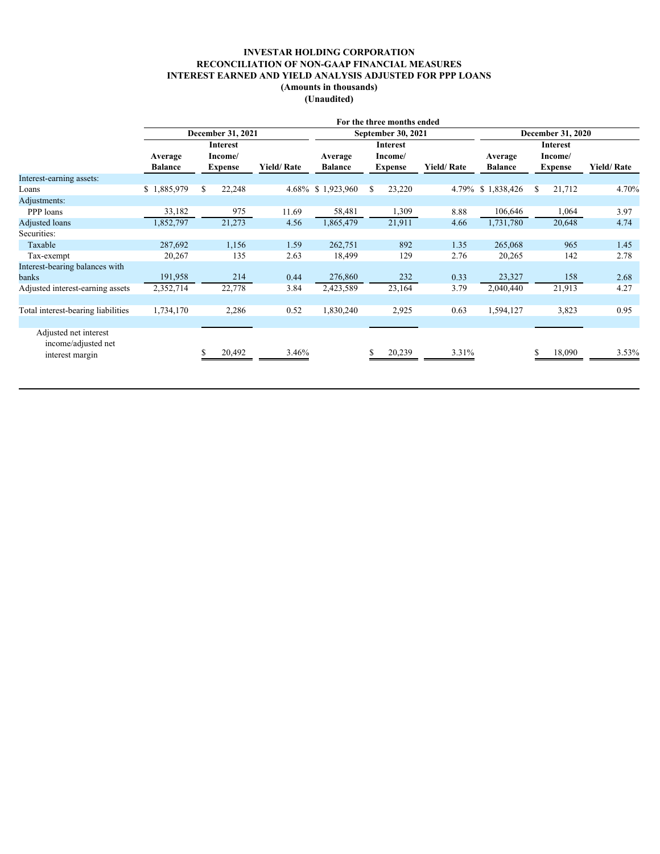# **INVESTAR HOLDING CORPORATION RECONCILIATION OF NON-GAAP FINANCIAL MEASURES INTEREST EARNED AND YIELD ANALYSIS ADJUSTED FOR PPP LOANS (Amounts in thousands)**

**(Unaudited)**

|                                              |                 |                   |                   |                | For the three months ended |                   |                          |                |                   |  |
|----------------------------------------------|-----------------|-------------------|-------------------|----------------|----------------------------|-------------------|--------------------------|----------------|-------------------|--|
|                                              |                 | December 31, 2021 |                   |                | September 30, 2021         |                   | <b>December 31, 2020</b> |                |                   |  |
|                                              | <b>Interest</b> |                   |                   | Interest       |                            |                   |                          |                |                   |  |
|                                              | Average         | Income/           |                   | Average        | Income/                    |                   | Average                  | Income/        |                   |  |
|                                              | <b>Balance</b>  | <b>Expense</b>    | <b>Yield/Rate</b> | <b>Balance</b> | <b>Expense</b>             | <b>Yield/Rate</b> | <b>Balance</b>           | <b>Expense</b> | <b>Yield/Rate</b> |  |
| Interest-earning assets:                     |                 |                   |                   |                |                            |                   |                          |                |                   |  |
| Loans                                        | \$1,885,979     | 22,248            | 4.68%             | \$1,923,960    | 23,220<br>-S               | 4.79%             | \$1,838,426              | 21,712<br>-S   | 4.70%             |  |
| Adjustments:                                 |                 |                   |                   |                |                            |                   |                          |                |                   |  |
| PPP loans                                    | 33,182          | 975               | 11.69             | 58,481         | 1,309                      | 8.88              | 106,646                  | 1,064          | 3.97              |  |
| Adjusted loans                               | 1,852,797       | 21,273            | 4.56              | 1,865,479      | 21,911                     | 4.66              | 1,731,780                | 20,648         | 4.74              |  |
| Securities:                                  |                 |                   |                   |                |                            |                   |                          |                |                   |  |
| Taxable                                      | 287,692         | 1,156             | 1.59              | 262,751        | 892                        | 1.35              | 265,068                  | 965            | 1.45              |  |
| Tax-exempt                                   | 20,267          | 135               | 2.63              | 18,499         | 129                        | 2.76              | 20,265                   | 142            | 2.78              |  |
| Interest-bearing balances with               |                 |                   |                   |                |                            |                   |                          |                |                   |  |
| banks                                        | 191,958         | 214               | 0.44              | 276,860        | 232                        | 0.33              | 23,327                   | 158            | 2.68              |  |
| Adjusted interest-earning assets             | 2,352,714       | 22,778            | 3.84              | 2,423,589      | 23,164                     | 3.79              | 2,040,440                | 21,913         | 4.27              |  |
|                                              |                 |                   |                   |                |                            |                   |                          |                |                   |  |
| Total interest-bearing liabilities           | 1,734,170       | 2,286             | 0.52              | 1,830,240      | 2,925                      | 0.63              | 1,594,127                | 3,823          | 0.95              |  |
|                                              |                 |                   |                   |                |                            |                   |                          |                |                   |  |
| Adjusted net interest<br>income/adjusted net |                 |                   |                   |                |                            |                   |                          |                |                   |  |
| interest margin                              |                 | 20,492            | 3.46%             |                | 20,239                     | 3.31%             |                          | 18,090         | 3.53%             |  |
|                                              |                 |                   |                   |                |                            |                   |                          |                |                   |  |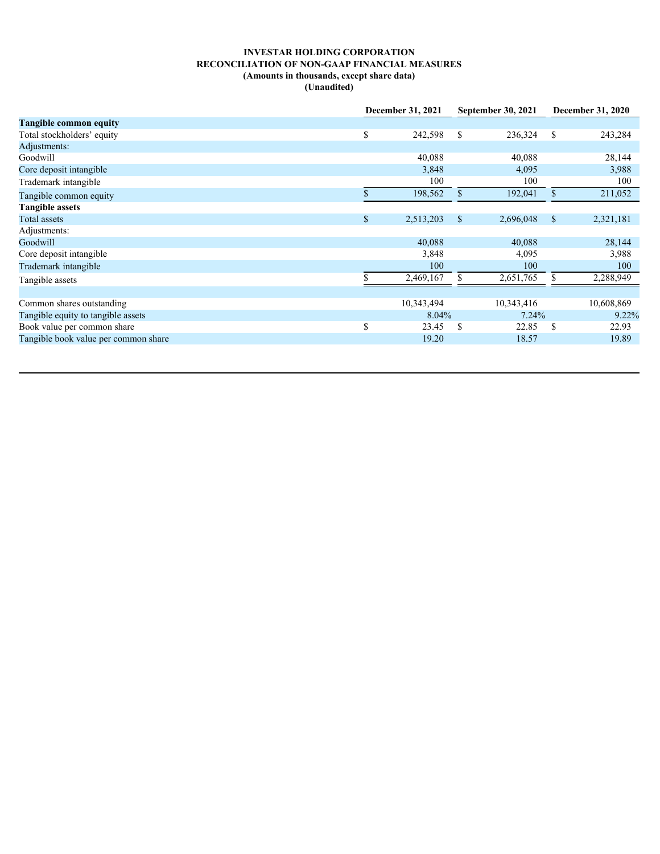# **INVESTAR HOLDING CORPORATION RECONCILIATION OF NON-GAAP FINANCIAL MEASURES (Amounts in thousands, except share data) (Unaudited)**

|                                      | December 31, 2021 |            | <b>September 30, 2021</b> |            | <b>December 31, 2020</b> |            |
|--------------------------------------|-------------------|------------|---------------------------|------------|--------------------------|------------|
| <b>Tangible common equity</b>        |                   |            |                           |            |                          |            |
| Total stockholders' equity           | D.                | 242,598    | - \$                      | 236,324    | - \$                     | 243,284    |
| Adjustments:                         |                   |            |                           |            |                          |            |
| Goodwill                             |                   | 40,088     |                           | 40,088     |                          | 28,144     |
| Core deposit intangible              |                   | 3,848      |                           | 4,095      |                          | 3,988      |
| Trademark intangible                 |                   | 100        |                           | 100        |                          | 100        |
| Tangible common equity               |                   | 198,562    |                           | 192,041    |                          | 211,052    |
| <b>Tangible assets</b>               |                   |            |                           |            |                          |            |
| Total assets                         | <sup>\$</sup>     | 2,513,203  | - \$                      | 2,696,048  | $^{\circ}$               | 2,321,181  |
| Adjustments:                         |                   |            |                           |            |                          |            |
| Goodwill                             |                   | 40,088     |                           | 40,088     |                          | 28,144     |
| Core deposit intangible              |                   | 3,848      |                           | 4,095      |                          | 3,988      |
| Trademark intangible                 |                   | 100        |                           | 100        |                          | 100        |
| Tangible assets                      |                   | 2,469,167  | -8                        | 2,651,765  |                          | 2,288,949  |
|                                      |                   |            |                           |            |                          |            |
| Common shares outstanding            |                   | 10,343,494 |                           | 10,343,416 |                          | 10,608,869 |
| Tangible equity to tangible assets   |                   | 8.04%      |                           | 7.24%      |                          | 9.22%      |
| Book value per common share          |                   | 23.45      | - \$                      | 22.85      |                          | 22.93      |
| Tangible book value per common share |                   | 19.20      |                           | 18.57      |                          | 19.89      |
|                                      |                   |            |                           |            |                          |            |